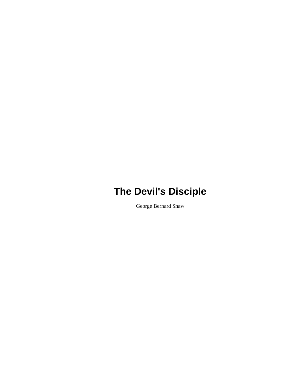George Bernard Shaw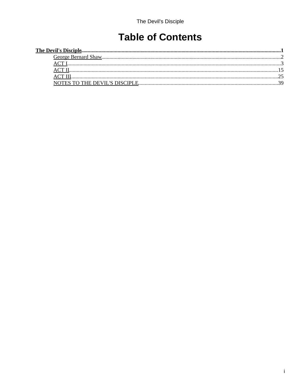# **Table of Contents**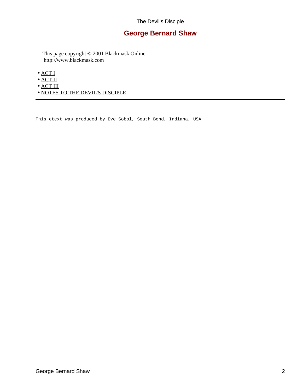## **George Bernard Shaw**

<span id="page-4-0"></span> This page copyright © 2001 Blackmask Online. http://www.blackmask.com

- [ACT I](#page-5-0)
- [ACT II](#page-17-0)
- $\bullet$  [ACT III](#page-27-0)
- [NOTES TO THE DEVIL'S DISCIPLE](#page-41-0)

This etext was produced by Eve Sobol, South Bend, Indiana, USA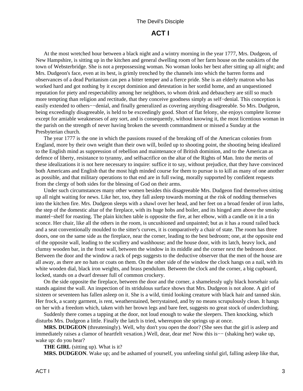## **ACT I**

<span id="page-5-0"></span> At the most wretched hour between a black night and a wintry morning in the year 1777, Mrs. Dudgeon, of New Hampshire, is sitting up in the kitchen and general dwelling room of her farm house on the outskirts of the town of Websterbridge. She is not a prepossessing woman. No woman looks her best after sitting up all night; and Mrs. Dudgeon's face, even at its best, is grimly trenched by the channels into which the barren forms and observances of a dead Puritanism can pen a bitter temper and a fierce pride. She is an elderly matron who has worked hard and got nothing by it except dominion and detestation in her sordid home, and an unquestioned reputation for piety and respectability among her neighbors, to whom drink and debauchery are still so much more tempting than religion and rectitude, that they conceive goodness simply as self−denial. This conception is easily extended to others--denial, and finally generalized as covering anything disagreeable. So Mrs. Dudgeon, being exceedingly disagreeable, is held to be exceedingly good. Short of flat felony, she enjoys complete license except for amiable weaknesses of any sort, and is consequently, without knowing it, the most licentious woman in the parish on the strength of never having broken the seventh commandment or missed a Sunday at the Presbyterian church.

 The year 1777 is the one in which the passions roused of the breaking off of the American colonies from England, more by their own weight than their own will, boiled up to shooting point, the shooting being idealized to the English mind as suppression of rebellion and maintenance of British dominion, and to the American as defence of liberty, resistance to tyranny, and selfsacrifice on the altar of the Rights of Man. Into the merits of these idealizations it is not here necessary to inquire: suffice it to say, without prejudice, that they have convinced both Americans and English that the most high minded course for them to pursue is to kill as many of one another as possible, and that military operations to that end are in full swing, morally supported by confident requests from the clergy of both sides for the blessing of God on their arms.

 Under such circumstances many other women besides this disagreeable Mrs. Dudgeon find themselves sitting up all night waiting for news. Like her, too, they fall asleep towards morning at the risk of nodding themselves into the kitchen fire. Mrs. Dudgeon sleeps with a shawl over her head, and her feet on a broad fender of iron laths, the step of the domestic altar of the fireplace, with its huge hobs and boiler, and its hinged arm above the smoky mantel−shelf for roasting. The plain kitchen table is opposite the fire, at her elbow, with a candle on it in a tin sconce. Her chair, like all the others in the room, is uncushioned and unpainted; but as it has a round railed back and a seat conventionally moulded to the sitter's curves, it is comparatively a chair of state. The room has three doors, one on the same side as the fireplace, near the corner, leading to the best bedroom; one, at the opposite end of the opposite wall, leading to the scullery and washhouse; and the house door, with its latch, heavy lock, and clumsy wooden bar, in the front wall, between the window in its middle and the corner next the bedroom door. Between the door and the window a rack of pegs suggests to the deductive observer that the men of the house are all away, as there are no hats or coats on them. On the other side of the window the clock hangs on a nail, with its white wooden dial, black iron weights, and brass pendulum. Between the clock and the corner, a big cupboard, locked, stands on a dwarf dresser full of common crockery.

 On the side opposite the fireplace, between the door and the corner, a shamelessly ugly black horsehair sofa stands against the wall. An inspection of its stridulous surface shows that Mrs. Dudgeon is not alone. A girl of sixteen or seventeen has fallen asleep on it. She is a wild, timid looking creature with black hair and tanned skin. Her frock, a scanty garment, is rent, weatherstained, berrystained, and by no means scrupulously clean. It hangs on her with a freedom which, taken with her brown legs and bare feet, suggests no great stock of underclothing.

 Suddenly there comes a tapping at the door, not loud enough to wake the sleepers. Then knocking, which disturbs Mrs. Dudgeon a little. Finally the latch is tried, whereupon she springs up at once.

 **MRS. DUDGEON** (threateningly). Well, why don't you open the door? (She sees that the girl is asleep and immediately raises a clamor of heartfelt vexation.) Well, dear, dear me! Now this is−− (shaking her) wake up, wake up: do you hear?

 **THE GIRL** (sitting up). What is it?

 **MRS. DUDGEON**. Wake up; and be ashamed of yourself, you unfeeling sinful girl, falling asleep like that,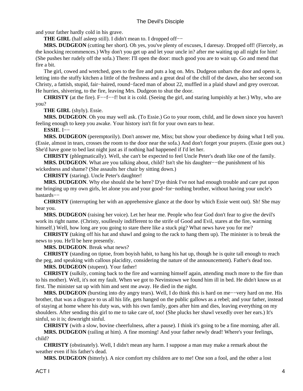and your father hardly cold in his grave.

**THE GIRL** (half asleep still). I didn't mean to. I dropped off−−

 **MRS. DUDGEON** (cutting her short). Oh yes, you've plenty of excuses, I daresay. Dropped off! (Fiercely, as the knocking recommences.) Why don't you get up and let your uncle in? after me waiting up all night for him! (She pushes her rudely off the sofa.) There: I'll open the door: much good you are to wait up. Go and mend that fire a bit.

 The girl, cowed and wretched, goes to the fire and puts a log on. Mrs. Dudgeon unbars the door and opens it, letting into the stuffy kitchen a little of the freshness and a great deal of the chill of the dawn, also her second son Christy, a fattish, stupid, fair−haired, round−faced man of about 22, muffled in a plaid shawl and grey overcoat. He hurries, shivering, to the fire, leaving Mrs. Dudgeon to shut the door.

**CHRISTY** (at the fire). F−−f−−f! but it is cold. (Seeing the girl, and staring lumpishly at her.) Why, who are you?

 **THE GIRL** (shyly). Essie.

 **MRS. DUDGEON**. Oh you may well ask. (To Essie.) Go to your room, child, and lie down since you haven't feeling enough to keep you awake. Your history isn't fit for your own ears to hear.

 **ESSIE**. I−−

 **MRS. DUDGEON** (peremptorily). Don't answer me, Miss; but show your obedience by doing what I tell you. (Essie, almost in tears, crosses the room to the door near the sofa.) And don't forget your prayers. (Essie goes out.) She'd have gone to bed last night just as if nothing had happened if I'd let her.

 **CHRISTY** (phlegmatically). Well, she can't be expected to feel Uncle Peter's death like one of the family.

 **MRS. DUDGEON**. What are you talking about, child? Isn't she his daughter−−the punishment of his wickedness and shame? (She assaults her chair by sitting down.)

 **CHRISTY** (staring). Uncle Peter's daughter!

 **MRS. DUDGEON**. Why else should she be here? D'ye think I've not had enough trouble and care put upon me bringing up my own girls, let alone you and your good−for−nothing brother, without having your uncle's bastards−−

 **CHRISTY** (interrupting her with an apprehensive glance at the door by which Essie went out). Sh! She may hear you.

 **MRS. DUDGEON** (raising her voice). Let her hear me. People who fear God don't fear to give the devil's work its right name. (Christy, soullessly indifferent to the strife of Good and Evil, stares at the fire, warming himself.) Well, how long are you going to stare there like a stuck pig? What news have you for me?

 **CHRISTY** (taking off his hat and shawl and going to the rack to hang them up). The minister is to break the news to you. He'll be here presently.

 **MRS. DUDGEON**. Break what news?

**CHRISTY** (standing on tiptoe, from boyish habit, to hang his hat up, though he is quite tall enough to reach the peg, and speaking with callous placidity, considering the nature of the announcement). Father's dead too.

#### **MRS. DUDGEON** (stupent). Your father!

 **CHRISTY** (sulkily, coming back to the fire and warming himself again, attending much more to the fire than to his mother). Well, it's not my fault. When we got to Nevinstown we found him ill in bed. He didn't know us at first. The minister sat up with him and sent me away. He died in the night.

 **MRS. DUDGEON** (bursting into dry angry tears). Well, I do think this is hard on me−−very hard on me. His brother, that was a disgrace to us all his life, gets hanged on the public gallows as a rebel; and your father, instead of staying at home where his duty was, with his own family, goes after him and dies, leaving everything on my shoulders. After sending this girl to me to take care of, too! (She plucks her shawl vexedly over her ears.) It's sinful, so it is; downright sinful.

 **CHRISTY** (with a slow, bovine cheerfulness, after a pause). I think it's going to be a fine morning, after all.

 **MRS. DUDGEON** (railing at him). A fine morning! And your father newly dead! Where's your feelings, child?

 **CHRISTY** (obstinately). Well, I didn't mean any harm. I suppose a man may make a remark about the weather even if his father's dead.

 **MRS. DUDGEON** (bitterly). A nice comfort my children are to me! One son a fool, and the other a lost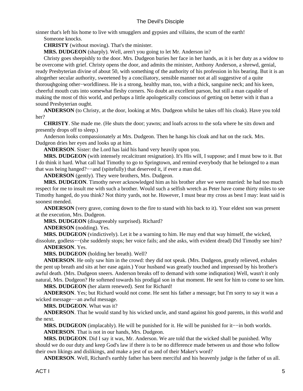sinner that's left his home to live with smugglers and gypsies and villains, the scum of the earth!

Someone knocks.

 **CHRISTY** (without moving). That's the minister.

 **MRS. DUDGEON** (sharply). Well, aren't you going to let Mr. Anderson in?

 Christy goes sheepishly to the door. Mrs. Dudgeon buries her face in her hands, as it is her duty as a widow to be overcome with grief. Christy opens the door, and admits the minister, Anthony Anderson, a shrewd, genial, ready Presbyterian divine of about 50, with something of the authority of his profession in his bearing. But it is an altogether secular authority, sweetened by a conciliatory, sensible manner not at all suggestive of a quite thorouqhgoing other−worldliness. He is a strong, healthy man, too, with a thick, sanguine neck; and his keen, cheerful mouth cuts into somewhat fleshy corners. No doubt an excellent parson, but still a man capable of making the most of this world, and perhaps a little apologetically conscious of getting on better with it than a sound Presbyterian ought.

 **ANDERSON** (to Christy, at the door, looking at Mrs. Dudgeon whilst he takes off his cloak). Have you told her?

 **CHRISTY**. She made me. (He shuts the door; yawns; and loafs across to the sofa where he sits down and presently drops off to sleep.)

 Anderson looks compassionately at Mrs. Dudgeon. Then he hangs his cloak and hat on the rack. Mrs. Dudgeon dries her eyes and looks up at him.

 **ANDERSON**. Sister: the Lord has laid his hand very heavily upon you.

 **MRS. DUDGEON** (with intensely recalcitrant resignation). It's His will, I suppose; and I must bow to it. But I do think it hard. What call had Timothy to go to Springtown, and remind everybody that he belonged to a man that was being hanged?−−and (spitefully) that deserved it, if ever a man did.

 **ANDERSON** (gently). They were brothers, Mrs. Dudgeon.

 **MRS. DUDGEON**. Timothy never acknowledged him as his brother after we were married: he had too much respect for me to insult me with such a brother. Would such a selfish wretch as Peter have come thirty miles to see Timothy hanged, do you think? Not thirty yards, not he. However, I must bear my cross as best I may: least said is soonest mended.

 **ANDERSON** (very grave, coming down to the fire to stand with his back to it). Your eldest son was present at the execution, Mrs. Dudgeon.

 **MRS. DUDGEON** (disagreeably surprised). Richard?

 **ANDERSON** (nodding). Yes.

 **MRS. DUDGEON** (vindictively). Let it be a warning to him. He may end that way himself, the wicked, dissolute, godless−−(she suddenly stops; her voice fails; and she asks, with evident dread) Did Timothy see him?

 **ANDERSON**. Yes.

 **MRS. DUDGEON** (holding her breath). Well?

 **ANDERSON**. He only saw him in the crowd: they did not speak. (Mrs. Dudgeon, greatly relieved, exhales the pent up breath and sits at her ease again.) Your husband was greatly touched and impressed by his brother's awful death. (Mrs. Dudgeon sneers. Anderson breaks off to demand with some indiqnation) Well, wasn't it only natural, Mrs. Dudgeon? He softened towards his prodigal son in that moment. He sent for him to come to see him.

 **MRS. DUDGEON** (her alarm renewed). Sent for Richard!

 **ANDERSON**. Yes; but Richard would not come. He sent his father a message; but I'm sorry to say it was a wicked message−−an awful message.

 **MRS. DUDGEON**. What was it?

 **ANDERSON**. That he would stand by his wicked uncle, and stand against his good parents, in this world and the next.

 **MRS. DUDGEON** (implacably). He will be punished for it. He will be punished for it−−in both worlds.  **ANDERSON**. That is not in our hands, Mrs. Dudgeon.

 **MRS. DUDGEON**. Did I say it was, Mr. Anderson. We are told that the wicked shall be punished. Why should we do our duty and keep God's law if there is to be no difference made between us and those who follow their own likings and dislikings, and make a jest of us and of their Maker's word?

 **ANDERSON**. Well, Richard's earthly father has been merciful and his heavenly judge is the father of us all.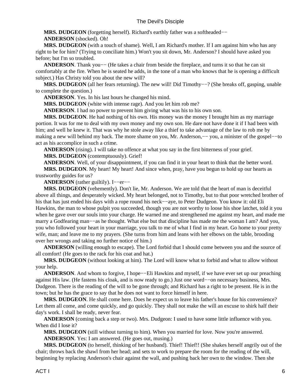**MRS. DUDGEON** (forgetting herself). Richard's earthly father was a softheaded–−

#### **ANDERSON** (shocked). Oh!

 **MRS. DUDGEON** (with a touch of shame). Well, I am Richard's mother. If I am against him who has any right to be for him? (Trying to conciliate him.) Won't you sit down, Mr. Anderson? I should have asked you before; but I'm so troubled.

 **ANDERSON**. Thank you−− (He takes a chair from beside the fireplace, and turns it so that he can sit comfortably at the fire. When he is seated he adds, in the tone of a man who knows that he is opening a difficult subject.) Has Christy told you about the new will?

 **MRS. DUDGEON** (all her fears returning). The new will! Did Timothy−−? (She breaks off, gasping, unable to complete the question.)

 **ANDERSON**. Yes. In his last hours he changed his mind.

 **MRS. DUDGEON** (white with intense rage). And you let him rob me?

 **ANDERSON**. I had no power to prevent him giving what was his to his own son.

 **MRS. DUDGEON**. He had nothing of his own. His money was the money I brought him as my marriage portion. It was for me to deal with my own money and my own son. He dare not have done it if I had been with him; and well he knew it. That was why he stole away like a thief to take advantage of the law to rob me by making a new will behind my back. The more shame on you, Mr. Anderson,−− you, a minister of the gospel−−to act as his accomplice in such a crime.

 **ANDERSON** (rising). I will take no offence at what you say in the first bitterness of your grief.

 **MRS. DUDGEON** (contemptuously). Grief!

 **ANDERSON**. Well, of your disappointment, if you can find it in your heart to think that the better word.  **MRS. DUDGEON**. My heart! My heart! And since when, pray, have you begun to hold up our hearts as trustworthy guides for us?

**ANDERSON** (rather guiltily). I-−er−−

 **MRS. DUDGEON** (vehemently). Don't lie, Mr. Anderson. We are told that the heart of man is deceitful above all things, and desperately wicked. My heart belonged, not to Timothy, but to that poor wretched brother of his that has just ended his days with a rope round his neck−−aye, to Peter Dudgeon. You know it: old Eli Hawkins, the man to whose pulpit you succeeded, though you are not worthy to loose his shoe latchet, told it you when he gave over our souls into your charge. He warned me and strengthened me against my heart, and made me marry a Godfearing man−−as he thought. What else but that discipline has made me the woman I am? And you, you who followed your heart in your marriage, you talk to me of what I find in my heart. Go home to your pretty wife, man; and leave me to my prayers. (She turns from him and leans with her elbows on the table, brooding over her wrongs and taking no further notice of him.)

 **ANDERSON** (willing enough to escape). The Lord forbid that I should come between you and the source of all comfort! (He goes to the rack for his coat and hat.)

 **MRS. DUDGEON** (without looking at him). The Lord will know what to forbid and what to allow without your help.

**ANDERSON**. And whom to forgive, I hope—–Eli Hawkins and myself, if we have ever set up our preaching against His law. (He fastens his cloak, and is now ready to go.) Just one word−−on necessary business, Mrs. Dudgeon. There is the reading of the will to be gone through; and Richard has a right to be present. He is in the town; but he has the grace to say that he does not want to force himself in here.

 **MRS. DUDGEON**. He shall come here. Does he expect us to leave his father's house for his convenience? Let them all come, and come quickly, and go quickly. They shall not make the will an excuse to shirk half their day's work. I shall be ready, never fear.

 **ANDERSON** (coming back a step or two). Mrs. Dudgeon: I used to have some little influence with you. When did I lose it?

 **MRS. DUDGEON** (still without turning to him). When you married for love. Now you're answered.

 **ANDERSON**. Yes: I am answered. (He goes out, musing.)

**MRS. DUDGEON** (to herself, thinking of her husband). Thief! Thief!! (She shakes herself angrily out of the chair; throws back the shawl from her head; and sets to work to prepare the room for the reading of the will, beginning by replacing Anderson's chair against the wall, and pushing back her own to the window. Then she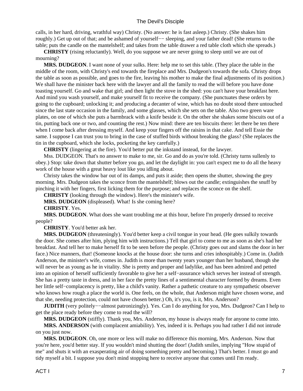calls, in her hard, driving, wrathful way) Christy. (No answer: he is fast asleep.) Christy. (She shakes him roughly.) Get up out of that; and be ashamed of yourself−− sleeping, and your father dead! (She returns to the table; puts the candle on the mantelshelf; and takes from the table drawer a red table cloth which she spreads.)

 **CHRISTY** (rising reluctantly). Well, do you suppose we are never going to sleep until we are out of mourning?

 **MRS. DUDGEON**. I want none of your sulks. Here: help me to set this table. (They place the table in the middle of the room, with Christy's end towards the fireplace and Mrs. Dudgeon's towards the sofa. Christy drops the table as soon as possible, and goes to the fire, leaving his mother to make the final adjustments of its position.) We shall have the minister back here with the lawyer and all the family to read the will before you have done toasting yourself. Go and wake that girl; and then light the stove in the shed: you can't have your breakfast here. And mind you wash yourself, and make yourself fit to receive the company. (She punctuates these orders by going to the cupboard; unlocking it; and producing a decanter of wine, which has no doubt stood there untouched since the last state occasion in the family, and some glasses, which she sets on the table. Also two green ware plates, on one of which she puts a barmbrack with a knife beside it. On the other she shakes some biscuits out of a tin, putting back one or two, and counting the rest.) Now mind: there are ten biscuits there: let there be ten there when I come back after dressing myself. And keep your fingers off the raisins in that cake. And tell Essie the same. I suppose I can trust you to bring in the case of stuffed birds without breaking the glass? (She replaces the tin in the cupboard, which she locks, pocketing the key carefully.)

 **CHRISTY** (lingering at the fire). You'd better put the inkstand instead, for the lawyer.

 Mss. DUDGEON. That's no answer to make to me, sir. Go and do as you're told. (Christy turns sullenly to obey.) Stop: take down that shutter before you go, and let the daylight in: you can't expect me to do all the heavy work of the house with a great heavy lout like you idling about.

 Christy takes the window bar out of its damps, and puts it aside; then opens the shutter, showing the grey morning. Mrs. Dudgeon takes the sconce from the mantelshelf; blows out the candle; extinguishes the snuff by pinching it with her fingers, first licking them for the purpose; and replaces the sconce on the shelf.

 **CHRISTY** (looking through the window). Here's the minister's wife.

 **MRS. DUDGEON** (displeased). What! Is she coming here?

#### **CHRISTY**. Yes.

 **MRS. DUDGEON**. What does she want troubling me at this hour, before I'm properly dressed to receive people?

#### **CHRISTY**. You'd better ask her.

 **MRS. DUDGEON** (threateningly). You'd better keep a civil tongue in your head. (He goes sulkily towards the door. She comes after him, plying him with instructions.) Tell that girl to come to me as soon as she's had her breakfast. And tell her to make herself fit to be seen before the people. (Christy goes out and slams the door in her face.) Nice manners, that! (Someone knocks at the house door: she turns and cries inhospitably.) Come in. (Judith Anderson, the minister's wife, comes in. Judith is more than twenty years younger than her husband, though she will never be as young as he in vitality. She is pretty and proper and ladylike, and has been admired and petted into an opinion of herself sufficiently favorable to give her a self−assurance which serves her instead of strength. She has a pretty taste in dress, and in her face the pretty lines of a sentimental character formed by dreams. Even her little self−complacency is pretty, like a child's vanity. Rather a pathetic creature to any sympathetic observer who knows how rough a place the world is. One feels, on the whole, that Anderson might have chosen worse, and that she, needing protection, could not have chosen better.) Oh, it's you, is it, Mrs. Anderson?

 **JUDITH** (very politely−−almost patronizingly). Yes. Can I do anything for you, Mrs. Dudgeon? Can I help to get the place ready before they come to read the will?

 **MRS. DUDGEON** (stiffly). Thank you, Mrs. Anderson, my house is always ready for anyone to come into.

 **MRS. ANDERSON** (with complacent amiability). Yes, indeed it is. Perhaps you had rather I did not intrude on you just now.

 **MRS. DUDGEON**. Oh, one more or less will make no difference this morning, Mrs. Anderson. Now that you're here, you'd better stay. If you wouldn't mind shutting the door! (Judith smiles, implying "How stupid of me" and shuts it with an exasperating air of doing something pretty and becoming.) That's better. I must go and tidy myself a bit. I suppose you don't mind stopping here to receive anyone that comes until I'm ready.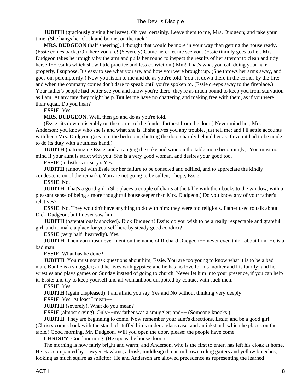**JUDITH** (graciously giving her leave). Oh yes, certainly. Leave them to me, Mrs. Dudgeon; and take your time. (She hangs her cloak and bonnet on the rack.)

 **MRS. DUDGEON** (half sneering). I thought that would be more in your way than getting the house ready. (Essie comes back.) Oh, here you are! (Severely) Come here: let me see you. (Essie timidly goes to her. Mrs. Dudgeon takes her roughly by the arm and pulls her round to inspect the results of her attempt to clean and tidy herself−−results which show little practice and less conviction.) Mm! That's what you call doing your hair properly, I suppose. It's easy to see what you are, and how you were brought up. (She throws her arms away, and goes on, peremptorily.) Now you listen to me and do as you're told. You sit down there in the corner by the fire; and when the company comes don't dare to speak until you're spoken to. (Essie creeps away to the fireplace.) Your father's people had better see you and know you're there: they're as much bound to keep you from starvation as I am. At any rate they might help. But let me have no chattering and making free with them, as if you were their equal. Do you hear?

#### **ESSIE**. Yes.

 **MRS. DUDGEON**. Well, then go and do as you're told.

 (Essie sits down miserably on the corner of the fender furthest from the door.) Never mind her, Mrs. Anderson: you know who she is and what she is. If she gives you any trouble, just tell me; and I'll settle accounts with her. (Mrs. Dudgeon goes into the bedroom, shutting the door sharply behind her as if even it had to be made to do its duty with a ruthless hand.)

**JUDITH** (patronizing Essie, and arranging the cake and wine on the table more becomingly). You must not mind if your aunt is strict with you. She is a very good woman, and desires your good too.

 **ESSIE** (in listless misery). Yes.

**JUDITH** (annoyed with Essie for her failure to be consoled and edified, and to appreciate the kindly condescension of the remark). You are not going to be sullen, I hope, Essie.

 **ESSIE**. No.

**JUDITH**. That's a good girl! (She places a couple of chairs at the table with their backs to the window, with a pleasant sense of being a more thoughtful housekeeper than Mrs. Dudgeon.) Do you know any of your father's relatives?

**ESSIE**. No. They wouldn't have anything to do with him: they were too religious. Father used to talk about Dick Dudgeon; but I never saw him.

**JUDITH** (ostentatiously shocked). Dick Dudgeon! Essie: do you wish to be a really respectable and grateful girl, and to make a place for yourself here by steady good conduct?

 **ESSIE** (very half−heartedly). Yes.

 **JUDITH**. Then you must never mention the name of Richard Dudgeon−− never even think about him. He is a bad man.

 **ESSIE**. What has he done?

**JUDITH**. You must not ask questions about him, Essie. You are too young to know what it is to be a bad man. But he is a smuggler; and he lives with gypsies; and he has no love for his mother and his family; and he wrestles and plays games on Sunday instead of going to church. Never let him into your presence, if you can help it, Essie; and try to keep yourself and all womanhood unspotted by contact with such men.

 **ESSIE**. Yes.

 **JUDITH** (again displeased). I am afraid you say Yes and No without thinking very deeply.

 **ESSIE**. Yes. At least I mean−−

**JUDITH** (severely). What do you mean?

 **ESSIE** (almost crying). Only−−my father was a smuggler; and−− (Someone knocks.)

**JUDITH**. They are beginning to come. Now remember your aunt's directions, Essie; and be a good girl. (Christy comes back with the stand of stuffed birds under a glass case, and an inkstand, which he places on the table.) Good morning, Mr. Dudgeon. Will you open the door, please: the people have come.

 **CHRISTY**. Good morning. (He opens the house door.)

 The morning is now fairly bright and warm; and Anderson, who is the first to enter, has left his cloak at home. He is accompanied by Lawyer Hawkins, a brisk, middleaged man in brown riding gaiters and yellow breeches, looking as much squire as solicitor. He and Anderson are allowed precedence as representing the learned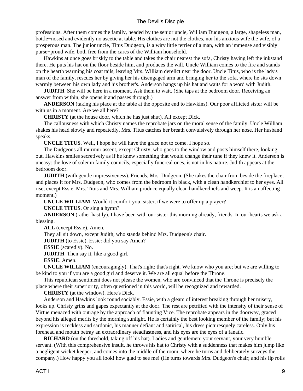professions. After them comes the family, headed by the senior uncle, William Dudgeon, a large, shapeless man, bottle−nosed and evidently no ascetic at table. His clothes are not the clothes, nor his anxious wife the wife, of a prosperous man. The junior uncle, Titus Dudgeon, is a wiry little terrier of a man, with an immense and visibly purse−proud wife, both free from the cares of the William household.

 Hawkins at once goes briskly to the table and takes the chair nearest the sofa, Christy having left the inkstand there. He puts his hat on the floor beside him, and produces the will. Uncle William comes to the fire and stands on the hearth warming his coat tails, leaving Mrs. William derelict near the door. Uncle Titus, who is the lady's man of the family, rescues her by giving her his disengaged arm and bringing her to the sofa, where he sits down warmly between his own lady and his brother's. Anderson hangs up his hat and waits for a word with Judith.

**JUDITH**. She will be here in a moment. Ask them to wait. (She taps at the bedroom door. Receiving an answer from within, she opens it and passes through.)

 **ANDERSON** (taking his place at the table at the opposite end to Hawkins). Our poor afflicted sister will be with us in a moment. Are we all here?

 **CHRISTY** (at the house door, which he has just shut). All except Dick.

 The callousness with which Christy names the reprobate jars on the moral sense of the family. Uncle William shakes his head slowly and repeatedly. Mrs. Titus catches her breath convulsively through her nose. Her husband speaks.

 **UNCLE TITUS**. Well, I hope he will have the grace not to come. I hope so.

 The Dudgeons all murmur assent, except Christy, who goes to the window and posts himself there, looking out. Hawkins smiles secretively as if he knew something that would change their tune if they knew it. Anderson is uneasy: the love of solemn family councils, especially funereal ones, is not in his nature. Judith appears at the bedroom door.

**JUDITH** (with gentle impressiveness). Friends, Mrs. Dudgeon. (She takes the chair from beside the fireplace; and places it for Mrs. Dudgeon, who comes from the bedroom in black, with a clean handkerchief to her eyes. All rise, except Essie. Mrs. Titus and Mrs. William produce equally clean handkerchiefs and weep. It is an affecting moment.)

 **UNCLE WILLIAM**. Would it comfort you, sister, if we were to offer up a prayer?

 **UNCLE TITUS**. Or sing a hymn?

 **ANDERSON** (rather hastily). I have been with our sister this morning already, friends. In our hearts we ask a blessing.

 **ALL** (except Essie). Amen.

They all sit down, except Judith, who stands behind Mrs. Dudgeon's chair.

**JUDITH** (to Essie). Essie: did you say Amen?

 **ESSIE** (scaredly). No.

**JUDITH**. Then say it, like a good girl.

 **ESSIE**. Amen.

 **UNCLE WILLIAM** (encouragingly). That's right: that's right. We know who you are; but we are willing to be kind to you if you are a good girl and deserve it. We are all equal before the Throne.

 This republican sentiment does not please the women, who are convinced that the Throne is precisely the place where their superiority, often questioned in this world, will be recognized and rewarded.

 **CHRISTY** (at the window). Here's Dick.

 Anderson and Hawkins look round sociably. Essie, with a gleam of interest breaking through her misery, looks up. Christy grins and gapes expectantly at the door. The rest are petrified with the intensity of their sense of Virtue menaced with outrage by the approach of flaunting Vice. The reprobate appears in the doorway, graced beyond his alleged merits by the morning sunlight. He is certainly the best looking member of the family; but his expression is reckless and sardonic, his manner defiant and satirical, his dress picturesquely careless. Only his forehead and mouth betray an extraordinary steadfastness, and his eyes are the eyes of a fanatic.

 **RICHARD** (on the threshold, taking off his hat). Ladies and gentlemen: your servant, your very humble servant. (With this comprehensive insult, he throws his hat to Christy with a suddenness that makes him jump like a negligent wicket keeper, and comes into the middle of the room, where he turns and deliberately surveys the company.) How happy you all look! how glad to see me! (He turns towards Mrs. Dudgeon's chair; and his lip rolls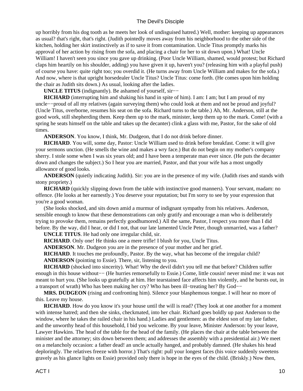up horribly from his dog tooth as he meets her look of undisguised hatred.) Well, mother: keeping up appearances as usual? that's right, that's right. (Judith pointedly moves away from his neighborhood to the other side of the kitchen, holding her skirt instinctively as if to save it from contamination. Uncle Titus promptly marks his approval of her action by rising from the sofa, and placing a chair for her to sit down upon.) What! Uncle William! I haven't seen you since you gave up drinking. (Poor Uncle William, shamed, would protest; but Richard claps him heartily on his shoulder, adding) you have given it up, haven't you? (releasing him with a playful push) of course you have: quite right too; you overdid it. (He turns away from Uncle William and makes for the sofa.) And now, where is that upright horsedealer Uncle Titus? Uncle Titus: come forth. (He comes upon him holding the chair as Judith sits down.) As usual, looking after the ladies.

 **UNCLE TITUS** (indignantly). Be ashamed of yourself, sir−−

**RICHARD** (interrupting him and shaking his hand in spite of him). I am: I am; but I am proud of my uncle−−proud of all my relatives (again surveying them) who could look at them and not be proud and joyful? (Uncle Titus, overborne, resumes his seat on the sofa. Richard turns to the table.) Ah, Mr. Anderson, still at the good work, still shepherding them. Keep them up to the mark, minister, keep them up to the mark. Come! (with a spring he seats himself on the table and takes up the decanter) clink a glass with me, Pastor, for the sake of old times.

 **ANDERSON**. You know, I think, Mr. Dudgeon, that I do not drink before dinner.

 **RICHARD**. You will, some day, Pastor: Uncle William used to drink before breakfast. Come: it will give your sermons unction. (He smells the wine and makes a wry face.) But do not begin on my mother's company sherry. I stole some when I was six years old; and I have been a temperate man ever since. (He puts the decanter down and changes the subject.) So I hear you are married, Pastor, and that your wife has a most ungodly allowance of good looks.

 **ANDERSON** (quietly indicating Judith). Sir: you are in the presence of my wife. (Judith rises and stands with stony propriety.)

 **RICHARD** (quickly slipping down from the table with instinctive good manners). Your servant, madam: no offence. (He looks at her earnestly.) You deserve your reputation; but I'm sorry to see by your expression that you're a good woman.

 (She looks shocked, and sits down amid a murmur of indignant sympathy from his relatives. Anderson, sensible enough to know that these demonstrations can only gratify and encourage a man who is deliberately trying to provoke them, remains perfectly goodhumored.) All the same, Pastor, I respect you more than I did before. By the way, did I hear, or did I not, that our late lamented Uncle Peter, though unmarried, was a father?

 **UNCLE TITUS**. He had only one irregular child, sir.

**RICHARD**. Only one! He thinks one a mere trifle! I blush for you, Uncle Titus.

 **ANDERSON**. Mr. Dudgeon you are in the presence of your mother and her grief.

 **RICHARD**. It touches me profoundly, Pastor. By the way, what has become of the irregular child?

 **ANDERSON** (pointing to Essie). There, sir, listening to you.

 **RICHARD** (shocked into sincerity). What! Why the devil didn't you tell me that before? Children suffer enough in this house without−− (He hurries remorsefully to Essie.) Come, little cousin! never mind me: it was not meant to hurt you. (She looks up gratefully at him. Her tearstained face affects him violently, and he bursts out, in a transport of wrath) Who has been making her cry? Who has been ill−treating her? By God−−

 **MRS. DUDGEON** (rising and confronting him). Silence your blasphemous tongue. I will hear no more of this. Leave my house.

**RICHARD**. How do you know it's your house until the will is read? (They look at one another for a moment with intense hatred; and then she sinks, checkmated, into her chair. Richard goes boldly up past Anderson to the window, where he takes the railed chair in his hand.) Ladies and gentlemen: as the eldest son of my late father, and the unworthy head of this household, I bid you welcome. By your leave, Minister Anderson: by your leave, Lawyer Hawkins. The head of the table for the head of the family. (He places the chair at the table between the minister and the attorney; sits down between them; and addresses the assembly with a presidential air.) We meet on a melancholy occasion: a father dead! an uncle actually hanged, and probably damned. (He shakes his head deploringly. The relatives freeze with horror.) That's right: pull your longest faces (his voice suddenly sweetens gravely as his glance lights on Essie) provided only there is hope in the eyes of the child. (Briskly.) Now then,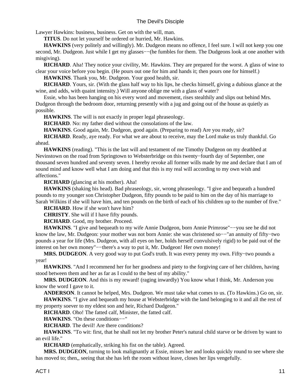Lawyer Hawkins: business, business. Get on with the will, man.

 **TITUS**. Do not let yourself be ordered or hurried, Mr. Hawkins.

**HAWKINS** (very politely and willingly). Mr. Dudgeon means no offence, I feel sure. I will not keep you one second, Mr. Dudgeon. Just while I get my glasses—−(he fumbles for them. The Dudgeons look at one another with misgiving).

 **RICHARD**. Aha! They notice your civility, Mr. Hawkins. They are prepared for the worst. A glass of wine to clear your voice before you begin. (He pours out one for him and hands it; then pours one for himself.)

 **HAWKINS**. Thank you, Mr. Dudgeon. Your good health, sir.

 **RICHARD**. Yours, sir. (With the glass half way to his lips, he checks himself, giving a dubious glance at the wine, and adds, with quaint intensity.) Will anyone oblige me with a glass of water?

 Essie, who has been hanging on his every word and movement, rises stealthily and slips out behind Mrs. Dudgeon through the bedroom door, returning presently with a jug and going out of the house as quietly as possible.

 **HAWKINS**. The will is not exactly in proper legal phraseology.

 **RICHARD**. No: my father died without the consolations of the law.

 **HAWKINS**. Good again, Mr. Dudgeon, good again. (Preparing to read) Are you ready, sir?

 **RICHARD**. Ready, aye ready. For what we are about to receive, may the Lord make us truly thankful. Go ahead.

 **HAWKINS** (reading). "This is the last will and testament of me Timothy Dudgeon on my deathbed at Nevinstown on the road from Springtown to Websterbridge on this twenty−fourth day of September, one thousand seven hundred and seventy seven. I hereby revoke all former wills made by me and declare that I am of sound mind and know well what I am doing and that this is my real will according to my own wish and affections."

 **RICHARD** (glancing at his mother). Aha!

 **HAWKINS** (shaking his head). Bad phraseology, sir, wrong phraseology. "I give and bequeath a hundred pounds to my younger son Christopher Dudgeon, fifty pounds to be paid to him on the day of his marriage to Sarah Wilkins if she will have him, and ten pounds on the birth of each of his children up to the number of five."

 **RICHARD**. How if she won't have him?

 **CHRISTY**. She will if I have fifty pounds.

 **RICHARD**. Good, my brother. Proceed.

 **HAWKINS**. "I give and bequeath to my wife Annie Dudgeon, born Annie Primrose"−−you see he did not know the law, Mr. Dudgeon: your mother was not born Annie: she was christened so−−"an annuity of fifty−two pounds a year for life (Mrs. Dudgeon, with all eyes on her, holds herself convulsively rigid) to be paid out of the interest on her own money"−−there's a way to put it, Mr. Dudgeon! Her own money!

 **MRS. DUDGEON**. A very good way to put God's truth. It was every penny my own. Fifty−two pounds a year!

 **HAWKINS**. "And I recommend her for her goodness and piety to the forgiving care of her children, having stood between them and her as far as I could to the best of my ability."

 **MRS. DUDGEON**. And this is my reward! (raging inwardly) You know what I think, Mr. Anderson you know the word I gave to it.

 **ANDERSON**. It cannot be helped, Mrs. Dudgeon. We must take what comes to us. (To Hawkins.) Go on, sir.

 **HAWKINS**. "I give and bequeath my house at Websterbridge with the land belonging to it and all the rest of my property soever to my eldest son and heir, Richard Dudgeon."

 **RICHARD**. Oho! The fatted calf, Minister, the fatted calf.

 **HAWKINS**. "On these conditions−−"

 **RICHARD**. The devil! Are there conditions?

 **HAWKINS**. "To wit: first, that he shall not let my brother Peter's natural child starve or be driven by want to an evil life."

 **RICHARD** (emphatically, striking his fist on the table). Agreed.

 **MRS. DUDGEON**, turning to look malignantly at Essie, misses her and looks quickly round to see where she has moved to; then,, seeing that she has left the room without leave, closes her lips vengefully.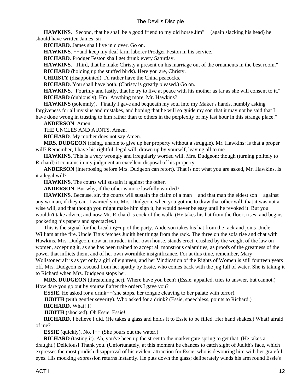**HAWKINS**. "Second, that he shall be a good friend to my old horse Jim"–−(again slacking his head) he should have written James, sir.

 **RICHARD**. James shall live in clover. Go on.

**HAWKINS**.  $-$ and keep my deaf farm laborer Prodger Feston in his service."

 **RICHARD**. Prodger Feston shall get drunk every Saturday.

 **HAWKINS**. "Third, that he make Christy a present on his marriage out of the ornaments in the best room."

 **RICHARD** (holding up the stuffed birds). Here you are, Christy.

 **CHRISTY** (disappointed). I'd rather have the China peacocks.

 **RICHARD**. You shall have both. (Christy is greatly pleased.) Go on.

**HAWKINS**. "Fourthly and lastly, that he try to live at peace with his mother as far as she will consent to it."  **RICHARD** (dubiously). Hm! Anything more, Mr. Hawkins?

 **HAWKINS** (solemnly). "Finally I gave and bequeath my soul into my Maker's hands, humbly asking forgiveness for all my sins and mistakes, and hoping that he will so guide my son that it may not be said that I have done wrong in trusting to him rather than to others in the perplexity of my last hour in this strange place."

 **ANDERSON**. Amen.

THE UNCLES AND AUNTS. Amen.

 **RICHARD**. My mother does not say Amen.

 **MRS. DUDGEON** (rising, unable to give up her property without a struggle). Mr. Hawkins: is that a proper will? Remember, I have his rightful, legal will, drawn up by yourself, leaving all to me.

 **HAWKINS**. This is a very wrongly and irregularly worded will, Mrs. Dudgeon; though (turning politely to Richard) it contains in my judgment an excellent disposal of his property.

 **ANDERSON** (interposing before Mrs. Dudgeon can retort). That is not what you are asked, Mr. Hawkins. Is it a legal will?

 **HAWKINS**. The courts will sustain it against the other.

 **ANDERSON**. But why, if the other is more lawfully worded?

 **HAWKINS**. Because, sir, the courts will sustain the claim of a man−−and that man the eldest son−−against any woman, if they can. I warned you, Mrs. Dudgeon, when you got me to draw that other will, that it was not a wise will, and that though you might make him sign it, he would never be easy until he revoked it. But you wouldn't take advice; and now Mr. Richard is cock of the walk. (He takes his hat from the floor; rises; and begins pocketing his papers and spectacles.)

 This is the signal for the breaking−up of the party. Anderson takes his hat from the rack and joins Uncle William at the fire. Uncle Titus fetches Judith her things from the rack. The three on the sofa rise and chat with Hawkins. Mrs. Dudgeon, now an intruder in her own house, stands erect, crushed by the weight of the law on women, accepting it, as she has been trained to accept all monstrous calamities, as proofs of the greatness of the power that inflicts them, and of her own wormlike insignificance. For at this time, remember, Mary

Wollstonecraft is as yet only a girl of eighteen, and her Vindication of the Rights of Women is still fourteen years off. Mrs. Dudgeon is rescued from her apathy by Essie, who comes back with the jug full of water. She is taking it to Richard when Mrs. Dudgeon stops her.

 **MRS. DUDGEON** (threatening her). Where have you been? (Essie, appalled, tries to answer, but cannot.) How dare you go out by yourself after the orders I gave you?

 **ESSIE**. He asked for a drink−−(she stops, her tongue cleaving to her palate with terror).

**JUDITH** (with gentler severity). Who asked for a drink? (Essie, speechless, points to Richard.)

 **RICHARD**. What! I!

 **JUDITH** (shocked). Oh Essie, Essie!

 **RICHARD**. I believe I did. (He takes a glass and holds it to Essie to be filled. Her hand shakes.) What! afraid of me?

 **ESSIE** (quickly). No. I−− (She pours out the water.)

**RICHARD** (tasting it). Ah, you've been up the street to the market gate spring to get that. (He takes a draught.) Delicious! Thank you. (Unfortunately, at this moment he chances to catch sight of Judith's face, which expresses the most prudish disapproval of his evident attraction for Essie, who is devouring him with her grateful eyes. His mocking expression returns instantly. He puts down the glass; deliberately winds his arm round Essie's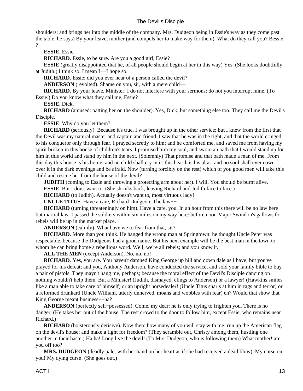shoulders; and brings her into the middle of the company. Mrs. Dudgeon being in Essie's way as they come past the table, he says) By your leave, mother (and compels her to make way for them). What do they call you? Bessie ?

 **ESSIE**. Essie.

**RICHARD**. Essie, to be sure. Are you a good girl, Essie?

**ESSIE** (greatly disappointed that he, of all people should begin at her in this way) Yes. (She looks doubtfully at Judith.) I think so. I mean I−−I hope so.

 **RICHARD**. Essie: did you ever hear of a person called the devil?

**ANDERSON** (revolted). Shame on you, sir, with a mere child–−

 **RICHARD**. By your leave, Minister: I do not interfere with your sermons: do not you interrupt mine. (To Essie.) Do you know what they call me, Essie?

 **ESSIE**. Dick.

 **RICHARD** (amused: patting her on the shoulder). Yes, Dick; but something else too. They call me the Devil's Disciple.

 **ESSIE**. Why do you let them?

 **RICHARD** (seriously). Because it's true. I was brought up in the other service; but I knew from the first that the Devil was my natural master and captain and friend. I saw that he was in the right, and that the world cringed to his conqueror only through fear. I prayed secretly to him; and he comforted me, and saved me from having my spirit broken in this house of children's tears. I promised him my soul, and swore an oath that I would stand up for him in this world and stand by him in the next. (Solemnly) That promise and that oath made a man of me. From this day this house is his home; and no child shall cry in it: this hearth is his altar; and no soul shall ever cower over it in the dark evenings and be afraid. Now (turning forcibly on the rest) which of you good men will take this child and rescue her from the house of the devil?

**JUDITH** (coming to Essie and throwing a protecting arm about her). I will. You should be burnt alive.

**ESSIE**. But I don't want to. (She shrinks back, leaving Richard and Judith face to face.)

**RICHARD** (to Judith). Actually doesn't want to, most virtuous lady!

 **UNCLE TITUS**. Have a care, Richard Dudgeon. The law−−

**RICHARD** (turning threateningly on him). Have a care, you. In an hour from this there will be no law here but martial law. I passed the soldiers within six miles on my way here: before noon Major Swindon's gallows for rebels will be up in the market place.

 **ANDERSON** (calmly). What have we to fear from that, sir?

**RICHARD**. More than you think. He hanged the wrong man at Springtown: he thought Uncle Peter was respectable, because the Dudgeons had a good name. But his next example will be the best man in the town to whom he can bring home a rebellious word. Well, we're all rebels; and you know it.

 **ALL THE MEN** (except Anderson). No, no, no!

 **RICHARD**. Yes, you are. You haven't damned King George up hill and down dale as I have; but you've prayed for his defeat; and you, Anthony Anderson, have conducted the service, and sold your family bible to buy a pair of pistols. They mayn't hang me, perhaps; because the moral effect of the Devil's Disciple dancing on nothing wouldn't help them. But a Minister! (Judith, dismayed, clings to Anderson) or a lawyer! (Hawkins smiles like a man able to take care of himself) or an upright horsedealer! (Uncle Titus snarls at him in rags and terror) or a reformed drunkard (Uncle William, utterly unnerved, moans and wobbles with fear) eh? Would that show that King George meant business−−ha?

 **ANDERSON** (perfectly self−possessed). Come, my dear: he is only trying to frighten you. There is no danger. (He takes her out of the house. The rest crowd to the door to follow him, except Essie, who remains near Richard.)

**RICHARD** (boisterously derisive). Now then: how many of you will stay with me; run up the American flag on the devil's house; and make a fight for freedom? (They scramble out, Christy among them, hustling one another in their haste.) Ha ha! Long live the devil! (To Mrs. Dudgeon, who is following them) What mother! are you off too?

 **MRS. DUDGEON** (deadly pale, with her hand on her heart as if she had received a deathblow). My curse on you! My dying curse! (She goes out.)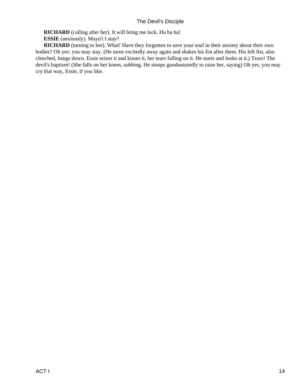**RICHARD** (calling after her). It will bring me luck. Ha ha ha!

 **ESSIE** (anxiously). Mayn't I stay?

**RICHARD** (turning to her). What! Have they forgotten to save your soul in their anxiety about their own bodies? Oh yes: you may stay. (He turns excitedly away again and shakes his fist after them. His left fist, also clenched, hangs down. Essie seizes it and kisses it, her tears falling on it. He starts and looks at it.) Tears! The devil's baptism! (She falls on her knees, sobbing. He stoops goodnaturedly to raise her, saying) Oh yes, you may cry that way, Essie, if you like.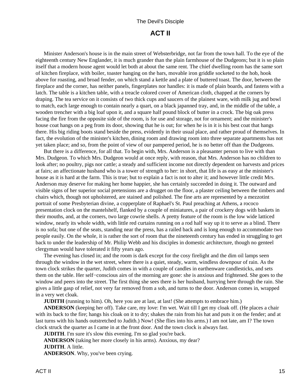## **ACT II**

<span id="page-17-0"></span> Minister Anderson's house is in the main street of Websterbridge, not far from the town hall. To the eye of the eighteenth century New Englander, it is much grander than the plain farmhouse of the Dudgeons; but it is so plain itself that a modern house agent would let both at about the same rent. The chief dwelling room has the same sort of kitchen fireplace, with boiler, toaster hanging on the bars, movable iron griddle socketed to the hob, hook above for roasting, and broad fender, on which stand a kettle and a plate of buttered toast. The door, between the fireplace and the corner, has neither panels, fingerplates nor handles: it is made of plain boards, and fastens with a latch. The table is a kitchen table, with a treacle colored cover of American cloth, chapped at the corners by draping. The tea service on it consists of two thick cups and saucers of the plainest ware, with milk jug and bowl to match, each large enough to contain nearly a quart, on a black japanned tray, and, in the middle of the table, a wooden trencher with a big loaf upon it, and a square half pound block of butter in a crock. The big oak press facing the fire from the opposite side of the room, is for use and storage, not for ornament; and the minister's house coat hangs on a peg from its door, showing that he is out; for when he is in it is his best coat that hangs there. His big riding boots stand beside the press, evidently in their usual place, and rather proud of themselves. In fact, the evolution of the minister's kitchen, dining room and drawing room into three separate apartments has not yet taken place; and so, from the point of view of our pampered period, he is no better off than the Dudgeons.

 But there is a difference, for all that. To begin with, Mrs. Anderson is a pleasanter person to live with than Mrs. Dudgeon. To which Mrs. Dudgeon would at once reply, with reason, that Mrs. Anderson has no children to look after; no poultry, pigs nor cattle; a steady and sufficient income not directly dependent on harvests and prices at fairs; an affectionate husband who is a tower of strength to her: in short, that life is as easy at the minister's house as it is hard at the farm. This is true; but to explain a fact is not to alter it; and however little credit Mrs. Anderson may deserve for making her home happier, she has certainly succeeded in doing it. The outward and visible signs of her superior social pretensions are a drugget on the floor, a plaster ceiling between the timbers and chairs which, though not upholstered, are stained and polished. The fine arts are represented by a mezzotint portrait of some Presbyterian divine, a copperplate of Raphael's St. Paul preaching at Athens, a rococo presentation clock on the mantelshelf, flanked by a couple of miniatures, a pair of crockery dogs with baskets in their mouths, and, at the corners, two large cowrie shells. A pretty feature of the room is the low wide latticed window, nearly its whole width, with little red curtains running on a rod half way up it to serve as a blind. There is no sofa; but one of the seats, standing near the press, has a railed back and is long enough to accommodate two people easily. On the whole, it is rather the sort of room that the nineteenth century has ended in struggling to get back to under the leadership of Mr. Philip Webb and his disciples in domestic architecture, though no genteel clergyman would have tolerated it fifty years ago.

 The evening has closed in; and the room is dark except for the cosy firelight and the dim oil lamps seen through the window in the wet street, where there is a quiet, steady, warm, windless downpour of rain. As the town clock strikes the quarter, Judith comes in with a couple of candles in earthenware candlesticks, and sets them on the table. Her self−conscious airs of the morning are gone: she is anxious and frightened. She goes to the window and peers into the street. The first thing she sees there is her husband, hurrying here through the rain. She gives a little gasp of relief, not very far removed from a sob, and turns to the door. Anderson comes in, wrapped in a very wet cloak.

**JUDITH** (running to him). Oh, here you are at last, at last! (She attempts to embrace him.)

 **ANDERSON** (keeping her off). Take care, my love: I'm wet. Wait till I get my cloak off. (He places a chair with its back to the fire; hangs his cloak on it to dry; shakes the rain from his hat and puts it on the fender; and at last turns with his hands outstretched to Judith.) Now! (She flies into his arms.) I am not late, am I? The town clock struck the quarter as I came in at the front door. And the town clock is always fast.

**JUDITH**. I'm sure it's slow this evening. I'm so glad you're back.

 **ANDERSON** (taking her more closely in his arms). Anxious, my dear?

 **JUDITH**. A little.

 **ANDERSON**. Why, you've been crying.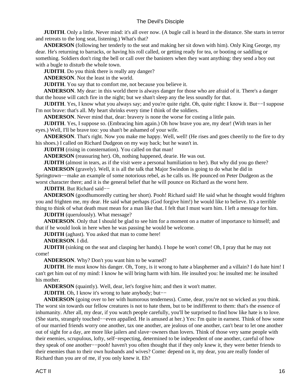**JUDITH**. Only a little. Never mind: it's all over now. (A bugle call is heard in the distance. She starts in terror and retreats to the long seat, listening.) What's that?

 **ANDERSON** (following her tenderly to the seat and making her sit down with him). Only King George, my dear. He's returning to barracks, or having his roll called, or getting ready for tea, or booting or saddling or something. Soldiers don't ring the bell or call over the banisters when they want anything: they send a boy out with a bugle to disturb the whole town.

**JUDITH**. Do you think there is really any danger?

 **ANDERSON**. Not the least in the world.

**JUDITH**. You say that to comfort me, not because you believe it.

**ANDERSON**. My dear: in this world there is always danger for those who are afraid of it. There's a danger that the house will catch fire in the night; but we shan't sleep any the less soundly for that.

 **JUDITH**. Yes, I know what you always say; and you're quite right. Oh, quite right: I know it. But−−I suppose I'm not brave: that's all. My heart shrinks every time I think of the soldiers.

 **ANDERSON**. Never mind that, dear: bravery is none the worse for costing a little pain.

**JUDITH**. Yes, I suppose so. (Embracing him again.) Oh how brave you are, my dear! (With tears in her eyes.) Well, I'll be brave too: you shan't be ashamed of your wife.

 **ANDERSON**. That's right. Now you make me happy. Well, well! (He rises and goes cheerily to the fire to dry his shoes.) I called on Richard Dudgeon on my way back; but he wasn't in.

**JUDITH** (rising in consternation). You called on that man!

 **ANDERSON** (reassuring her). Oh, nothing happened, dearie. He was out.

**JUDITH** (almost in tears, as if the visit were a personal humiliation to her). But why did you go there?  **ANDERSON** (gravely). Well, it is all the talk that Major Swindon is going to do what he did in

Springtown−−make an example of some notorious rebel, as he calls us. He pounced on Peter Dudgeon as the worst character there; and it is the general belief that he will pounce on Richard as the worst here.

 **JUDITH**. But Richard said−−

 **ANDERSON** (goodhumoredly cutting her short). Pooh! Richard said! He said what he thought would frighten you and frighten me, my dear. He said what perhaps (God forgive him!) he would like to believe. It's a terrible thing to think of what death must mean for a man like that. I felt that I must warn him. I left a message for him.

**JUDITH** (querulously). What message?

 **ANDERSON**. Only that I should be glad to see him for a moment on a matter of importance to himself; and that if he would look in here when he was passing he would be welcome.

**JUDITH** (aghast). You asked that man to come here!

 **ANDERSON**. I did.

**JUDITH** (sinking on the seat and clasping her hands). I hope he won't come! Oh, I pray that he may not come!

 **ANDERSON**. Why? Don't you want him to be warned?

**JUDITH**. He must know his danger. Oh, Tony, is it wrong to hate a blasphemer and a villain? I do hate him! I can't get him out of my mind: I know he will bring harm with him. He insulted you: he insulted me: he insulted his mother.

 **ANDERSON** (quaintly). Well, dear, let's forgive him; and then it won't matter.

 **JUDITH**. Oh, I know it's wrong to hate anybody; but−−

 **ANDERSON** (going over to her with humorous tenderness). Come, dear, you're not so wicked as you think. The worst sin towards our fellow creatures is not to hate them, but to be indifferent to them: that's the essence of inhumanity. After all, my dear, if you watch people carefully, you'll be surprised to find how like hate is to love. (She starts, strangely touched−−even appalled. He is amused at her.) Yes: I'm quite in earnest. Think of how some of our married friends worry one another, tax one another, are jealous of one another, can't bear to let one another out of sight for a day, are more like jailers and slave−owners than lovers. Think of those very same people with their enemies, scrupulous, lofty, self−respecting, determined to be independent of one another, careful of how they speak of one another−−pooh! haven't you often thought that if they only knew it, they were better friends to their enemies than to their own husbands and wives? Come: depend on it, my dear, you are really fonder of Richard than you are of me, if you only knew it. Eh?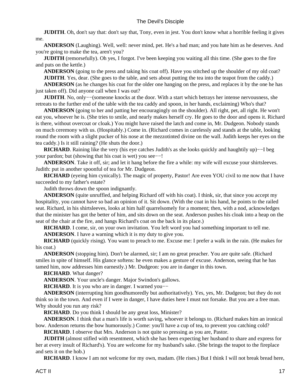**JUDITH**. Oh, don't say that: don't say that, Tony, even in jest. You don't know what a horrible feeling it gives me.

 **ANDERSON** (Laughing). Well, well: never mind, pet. He's a bad man; and you hate him as he deserves. And you're going to make the tea, aren't you?

**JUDITH** (remorsefully). Oh yes, I forgot. I've been keeping you waiting all this time. (She goes to the fire and puts on the kettle.)

**ANDERSON** (going to the press and taking his coat off). Have you stitched up the shoulder of my old coat? **JUDITH**. Yes, dear. (She goes to the table, and sets about putting the tea into the teapot from the caddy.)

 **ANDERSON** (as he changes his coat for the older one hanging on the press, and replaces it by the one he has just taken off). Did anyone call when I was out?

 **JUDITH**. No, only−−(someone knocks at the door. With a start which betrays her intense nervousness, she retreats to the further end of the table with the tea caddy and spoon, in her hands, exclaiming) Who's that?

 **ANDERSON** (going to her and patting her encouragingly on the shoulder). All right, pet, all right. He won't eat you, whoever he is. (She tries to smile, and nearly makes herself cry. He goes to the door and opens it. Richard is there, without overcoat or cloak.) You might have raised the latch and come in, Mr. Dudgeon. Nobody stands on much ceremony with us. (Hospitably.) Come in. (Richard comes in carelessly and stands at the table, looking round the room with a slight pucker of his nose at the mezzotinted divine on the wall. Judith keeps her eyes on the tea caddy.) Is it still raining? (He shuts the door.)

**RICHARD**. Raining like the very (his eye catches Judith's as she looks quickly and haughtily up)−−I beg your pardon; but (showing that his coat is wet) you see−−!

**ANDERSON**. Take it off, sir; and let it hang before the fire a while: my wife will excuse your shirtsleeves. Judith: put in another spoonful of tea for Mr. Dudgeon.

**RICHARD** (eyeing him cynically). The magic of property, Pastor! Are even YOU civil to me now that I have succeeded to my father's estate?

Judith throws down the spoon indignantly.

 **ANDERSON** (quite unruffled, and helping Richard off with his coat). I think, sir, that since you accept my hospitality, you cannot have so bad an opinion of it. Sit down. (With the coat in his hand, he points to the railed seat. Richard, in his shirtsleeves, looks at him half quarrelsomely for a moment; then, with a nod, acknowledges that the minister has got the better of him, and sits down on the seat. Anderson pushes his cloak into a heap on the seat of the chair at the fire, and hangs Richard's coat on the back in its place.)

 **RICHARD**. I come, sir, on your own invitation. You left word you had something important to tell me.

**ANDERSON.** I have a warning which it is my duty to give you.

**RICHARD** (quickly rising). You want to preach to me. Excuse me: I prefer a walk in the rain. (He makes for his coat.)

 **ANDERSON** (stopping him). Don't be alarmed, sir; I am no great preacher. You are quite safe. (Richard smiles in spite of himself. His glance softens: he even makes a gesture of excuse. Anderson, seeing that he has tamed him, now addresses him earnestly.) Mr. Dudgeon: you are in danger in this town.

 **RICHARD**. What danger?

 **ANDERSON**. Your uncle's danger. Major Swindon's gallows.

**RICHARD**. It is you who are in danger. I warned you–−

 **ANDERSON** (interrupting him goodhumoredly but authoritatively). Yes, yes, Mr. Dudgeon; but they do not think so in the town. And even if I were in danger, I have duties here I must not forsake. But you are a free man. Why should you run any risk?

**RICHARD**. Do you think I should be any great loss, Minister?

 **ANDERSON**. I think that a man's life is worth saving, whoever it belongs to. (Richard makes him an ironical bow. Anderson returns the bow humorously.) Come: you'll have a cup of tea, to prevent you catching cold?

 **RICHARD**. I observe that Mrs. Anderson is not quite so pressing as you are, Pastor.

**JUDITH** (almost stifled with resentment, which she has been expecting her husband to share and express for her at every insult of Richard's). You are welcome for my husband's sake. (She brings the teapot to the fireplace and sets it on the hob.)

**RICHARD**. I know I am not welcome for my own, madam. (He rises.) But I think I will not break bread here,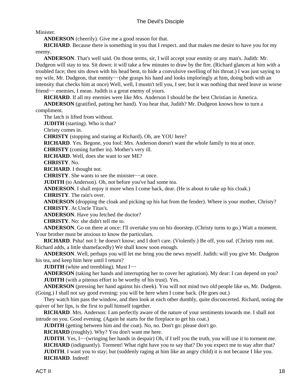Minister.

**ANDERSON** (cheerily). Give me a good reason for that.

 **RICHARD**. Because there is something in you that I respect. and that makes me desire to have you for my enemy.

 **ANDERSON**. That's well said. On those terms, sir, I will accept your enmity or any man's. Judith: Mr. Dudgeon will stay to tea. Sit down: it will take a few minutes to draw by the fire. (Richard glances at him with a troubled face; then sits down with his head bent, to hide a convulsive swelling of his throat.) I was just saying to my wife, Mr. Dudgeon, that enmity−−(she grasps his hand and looks imploringly at him, doing both with an intensity that checks him at once) Well, well, I mustn't tell you, I see; but it was nothing that need leave us worse friend−− enemies, I mean. Judith is a great enemy of yours.

 **RICHARD**. If all my enemies were like Mrs. Anderson I should be the best Christian in America.

 **ANDERSON** (gratified, patting her hand). You hear that, Judith? Mr. Dudgeon knows how to turn a compliment.

The latch is lifted from without.

**JUDITH** (starting). Who is that?

Christy comes in.

 **CHRISTY** (stopping and staring at Richard). Oh, are YOU here?

 **RICHARD**. Yes. Begone, you fool: Mrs. Anderson doesn't want the whole family to tea at once.

 **CHRISTY** (coming further in). Mother's very ill.

 **RICHARD**. Well, does she want to see ME?

 **CHRISTY**. No.

 **RICHARD**. I thought not.

 **CHRISTY**. She wants to see the minister−−at once.

**JUDITH** (to Anderson). Oh, not before you've had some tea.

 **ANDERSON**. I shall enjoy it more when I come back, dear. (He is about to take up his cloak.)

 **CHRISTY**. The rain's over.

 **ANDERSON** (dropping the cloak and picking up his hat from the fender). Where is your mother, Christy?  **CHRISTY**. At Uncle Titus's.

 **ANDERSON**. Have you fetched the doctor?

 **CHRISTY**. No: she didn't tell me to.

 **ANDERSON**. Go on there at once: I'll overtake you on his doorstep. (Christy turns to go.) Wait a moment. Your brother must be anxious to know the particulars.

**RICHARD**. Psha! not I: he doesn't know; and I don't care. (Violently.) Be off, you oaf. (Christy runs out. Richard adds, a little shamefacedly) We shall know soon enough.

 **ANDERSON**. Well, perhaps you will let me bring you the news myself. Judith: will you give Mr. Dudgeon his tea, and keep him here until I return?

 **JUDITH** (white and trembling). Must I–−

 **ANDERSON** (taking her hands and interrupting her to cover her agitation). My dear: I can depend on you?  **JUDITH** (with a piteous effort to be worthy of his trust). Yes.

 **ANDERSON** (pressing her hand against his cheek). You will not mind two old people like us, Mr. Dudgeon. (Going.) I shall not say good evening: you will be here when I come back. (He goes out.)

 They watch him pass the window, and then look at each other dumbly, quite disconcerted. Richard, noting the quiver of her lips, is the first to pull himself together.

 **RICHARD**. Mrs. Anderson: I am perfectly aware of the nature of your sentiments towards me. I shall not intrude on you. Good evening. (Again he starts for the fireplace to get his coat.)

**JUDITH** (getting between him and the coat). No, no. Don't go: please don't go.

 **RICHARD** (roughly). Why? You don't want me here.

 **JUDITH**. Yes, I−−(wringing her hands in despair) Oh, if I tell you the truth, you will use it to torment me. **RICHARD** (indignantly). Torment! What right have you to say that? Do you expect me to stay after that? **JUDITH**. I want you to stay; but (suddenly raging at him like an angry child) it is not because I like you.  **RICHARD**. Indeed!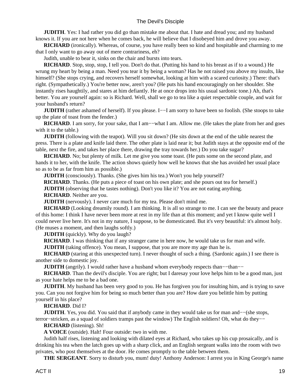**JUDITH**. Yes: I had rather you did go than mistake me about that. I hate and dread you; and my husband knows it. If you are not here when he comes back, he will believe that I disobeyed him and drove you away.

 **RICHARD** (ironically). Whereas, of course, you have really been so kind and hospitable and charming to me that I only want to go away out of mere contrariness, eh?

Judith, unable to bear it, sinks on the chair and bursts into tears.

 **RICHARD**. Stop, stop, stop, I tell you. Don't do that. (Putting his hand to his breast as if to a wound.) He wrung my heart by being a man. Need you tear it by being a woman? Has he not raised you above my insults, like himself? (She stops crying, and recovers herself somewhat, looking at him with a scared curiosity.) There: that's right. (Sympathetically.) You're better now, aren't you? (He puts his hand encouragingly on her shoulder. She instantly rises haughtily, and stares at him defiantly. He at once drops into his usual sardonic tone.) Ah, that's better. You are yourself again: so is Richard. Well, shall we go to tea like a quiet respectable couple, and wait for your husband's return?

**JUDITH** (rather ashamed of herself). If you please. I–−I am sorry to have been so foolish. (She stoops to take up the plate of toast from the fender.)

**RICHARD**. I am sorry, for your sake, that I am—–what I am. Allow me. (He takes the plate from her and goes with it to the table.)

**JUDITH** (following with the teapot). Will you sit down? (He sits down at the end of the table nearest the press. There is a plate and knife laid there. The other plate is laid near it; but Judith stays at the opposite end of the table, next the fire, and takes her place there, drawing the tray towards her.) Do you take sugar?

 **RICHARD**. No; but plenty of milk. Let me give you some toast. (He puts some on the second plate, and hands it to her, with the knife. The action shows quietly how well he knows that she has avoided her usual place so as to be as far from him as possible.)

**JUDITH** (consciously). Thanks. (She gives him his tea.) Won't you help yourself?

**RICHARD**. Thanks. (He puts a piece of toast on his own plate; and she pours out tea for herself.)

**JUDITH** (observing that he tastes nothing). Don't you like it? You are not eating anything.

 **RICHARD**. Neither are you.

**JUDITH** (nervously). I never care much for my tea. Please don't mind me.

 **RICHARD** (Looking dreamily round). I am thinking. It is all so strange to me. I can see the beauty and peace of this home: I think I have never been more at rest in my life than at this moment; and yet I know quite well I could never live here. It's not in my nature, I suppose, to be domesticated. But it's very beautiful: it's almost holy. (He muses a moment, and then laughs softly.)

**JUDITH** (quickly). Why do you laugh?

 **RICHARD**. I was thinking that if any stranger came in here now, he would take us for man and wife.

**JUDITH** (taking offence). You mean, I suppose, that you are more my age than he is.

**RICHARD** (staring at this unexpected turn). I never thought of such a thing. (Sardonic again.) I see there is another side to domestic joy.

**JUDITH** (angrily). I would rather have a husband whom everybody respects than—–than—–

**RICHARD**. Than the devil's disciple. You are right; but I daresay your love helps him to be a good man, just as your hate helps me to be a bad one.

**JUDITH**. My husband has been very good to you. He has forgiven you for insulting him, and is trying to save you. Can you not forgive him for being so much better than you are? How dare you belittle him by putting yourself in his place?

 **RICHARD**. Did I?

 **JUDITH**. Yes, you did. You said that if anybody came in they would take us for man and−−(she stops, terror−stricken, as a squad of soldiers tramps past the window) The English soldiers! Oh, what do they−−

#### **RICHARD** (listening). Sh!

 **A VOICE** (outside). Halt! Four outside: two in with me.

 Judith half rises, listening and looking with dilated eyes at Richard, who takes up his cup prosaically, and is drinking his tea when the latch goes up with a sharp click, and an English sergeant walks into the room with two privates, who post themselves at the door. He comes promptly to the table between them.

**THE SERGEANT**. Sorry to disturb you, mum! duty! Anthony Anderson: I arrest you in King George's name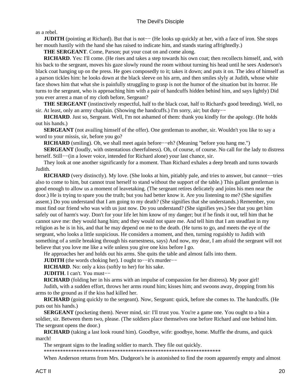as a rebel.

**JUDITH** (pointing at Richard). But that is not–− (He looks up quickly at her, with a face of iron. She stops her mouth hastily with the hand she has raised to indicate him, and stands staring affrightedly.)

 **THE SERGEANT**. Come, Parson; put your coat on and come along.

 **RICHARD**. Yes: I'll come. (He rises and takes a step towards his own coat; then recollects himself, and, with his back to the sergeant, moves his gaze slowly round the room without turning his head until he sees Anderson's black coat hanging up on the press. He goes composedly to it; takes it down; and puts it on. The idea of himself as a parson tickles him: he looks down at the black sleeve on his arm, and then smiles slyly at Judith, whose white face shows him that what she is painfully struggling to grasp is not the humor of the situation but its horror. He turns to the sergeant, who is approaching him with a pair of handcuffs hidden behind him, and says lightly) Did you ever arrest a man of my cloth before, Sergeant?

 **THE SERGEANT** (instinctively respectful, half to the black coat, half to Richard's good breeding). Well, no sir. At least, only an army chaplain. (Showing the handcuffs.) I'm sorry, air; but duty−−

 **RICHARD**. Just so, Sergeant. Well, I'm not ashamed of them: thank you kindly for the apology. (He holds out his hands.)

 **SERGEANT** (not availing himself of the offer). One gentleman to another, sir. Wouldn't you like to say a word to your missis, sir, before you go?

**RICHARD** (smiling). Oh, we shall meet again before−−eh? (Meaning "before you hang me.")

**SERGEANT** (loudly, with ostentatious cheerfulness). Oh, of course, of course. No call for the lady to distress herself. Still−−(in a lower voice, intended for Richard alone) your last chance, sir.

 They look at one another significantly for a moment. Than Richard exhales a deep breath and turns towards Judith.

**RICHARD** (very distinctly). My love. (She looks at him, pitiably pale, and tries to answer, but cannot–−tries also to come to him, but cannot trust herself to stand without the support of the table.) This gallant gentleman is good enough to allow us a moment of leavetaking. (The sergeant retires delicately and joins his men near the door.) He is trying to spare you the truth; but you had better know it. Are you listening to me? (She signifies assent.) Do you understand that I am going to my death? (She signifies that she understands.) Remember, you must find our friend who was with us just now. Do you understand? (She signifies yes.) See that you get him safely out of harm's way. Don't for your life let him know of my danger; but if he finds it out, tell him that he cannot save me: they would hang him; and they would not spare me. And tell him that I am steadfast in my religion as he is in his, and that he may depend on me to the death. (He turns to go, and meets the eye of the sergeant, who looks a little suspicious. He considers a moment, and then, turning roguishly to Judith with something of a smile breaking through his earnestness, says) And now, my dear, I am afraid the sergeant will not believe that you love me like a wife unless you give one kiss before I go.

He approaches her and holds out his arms. She quits the table and almost falls into them.

 **JUDITH** (the words choking her). I ought to−−it's murder−−

**RICHARD**. No: only a kiss (softly to her) for his sake.

 **JUDITH**. I can't. You must−−

 **RICHARD** (folding her in his arms with an impulse of compassion for her distress). My poor girl!

 Judith, with a sudden effort, throws her arms round him; kisses him; and swoons away, dropping from his arms to the ground as if the kiss had killed her.

 **RICHARD** (going quickly to the sergeant). Now, Sergeant: quick, before she comes to. The handcuffs. (He puts out his hands.)

**SERGEANT** (pocketing them). Never mind, sir: I'll trust you. You're a game one. You ought to a bin a soldier, sir. Between them two, please. (The soldiers place themselves one before Richard and one behind him. The sergeant opens the door.)

 **RICHARD** (taking a last look round him). Goodbye, wife: goodbye, home. Muffle the drums, and quick march!

The sergeant signs to the leading soldier to march. They file out quickly.

\*\*\*\*\*\*\*\*\*\*\*\*\*\*\*\*\*\*\*\*\*\*\*\*\*\*\*\*\*\*\*\*\*\*\*\*\*\*\*\*\*\*\*\*\*\*\*\*\*\*\*\*\*\*\*\*\*\*\*\*\*\*\*\*\*

When Anderson returns from Mrs. Dudgeon's he is astonished to find the room apparently empty and almost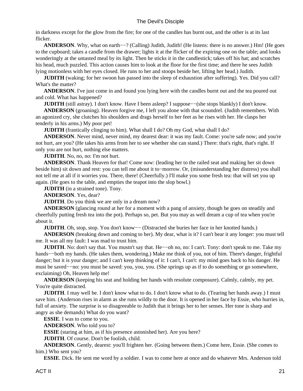in darkness except for the glow from the fire; for one of the candles has burnt out, and the other is at its last flicker.

**ANDERSON.** Why, what on earth–−? (Calling) Judith, Judith! (He listens: there is no answer.) Hm! (He goes to the cupboard; takes a candle from the drawer; lights it at the flicker of the expiring one on the table; and looks wonderingly at the untasted meal by its light. Then he sticks it in the candlestick; takes off his hat; and scratches his head, much puzzled. This action causes him to look at the floor for the first time; and there he sees Judith lying motionless with her eyes closed. He runs to her and stoops beside her, lifting her head.) Judith.

**JUDITH** (waking; for her swoon has passed into the sleep of exhaustion after suffering). Yes. Did you call? What's the matter?

 **ANDERSON**. I've just come in and found you lying here with the candles burnt out and the tea poured out and cold. What has happened?

**JUDITH** (still astray). I don't know. Have I been asleep? I suppose—−(she stops blankly) I don't know.

 **ANDERSON** (groaning). Heaven forgive me, I left you alone with that scoundrel. (Judith remembers. With an agonized cry, she clutches his shoulders and drags herself to her feet as he rises with her. He clasps her tenderly in his arms.) My poor pet!

 **JUDITH** (frantically clinging to him). What shall I do? Oh my God, what shall I do?

**ANDERSON.** Never mind, never mind, my dearest dear: it was my fault. Come: you're safe now; and you're not hurt, are you? (He takes his arms from her to see whether she can stand.) There: that's right, that's right. If only you are not hurt, nothing else matters.

**JUDITH**. No, no, no: I'm not hurt.

 **ANDERSON**. Thank Heaven for that! Come now: (leading her to the railed seat and making her sit down beside him) sit down and rest: you can tell me about it to−morrow. Or, (misunderstanding her distress) you shall not tell me at all if it worries you. There, there! (Cheerfully.) I'll make you some fresh tea: that will set you up again. (He goes to the table, and empties the teapot into the slop bowl.)

**JUDITH** (in a strained tone). Tony.

 **ANDERSON**. Yes, dear?

**JUDITH**. Do you think we are only in a dream now?

 **ANDERSON** (glancing round at her for a moment with a pang of anxiety, though he goes on steadily and cheerfully putting fresh tea into the pot). Perhaps so, pet. But you may as well dream a cup of tea when you're about it.

 **JUDITH**. Oh, stop, stop. You don't know— (Distracted she buries her face in her knotted hands.)

 **ANDERSON** (breaking down and coming to her). My dear, what is it? I can't bear it any longer: you must tell me. It was all my fault: I was mad to trust him.

**JUDITH**. No: don't say that. You mustn't say that. He–−oh no, no: I can't. Tony: don't speak to me. Take my hands−−both my hands. (He takes them, wondering.) Make me think of you, not of him. There's danger, frightful danger; but it is your danger; and I can't keep thinking of it: I can't, I can't: my mind goes back to his danger. He must be saved−−no: you must be saved: you, you, you. (She springs up as if to do something or go somewhere, exclaiming) Oh, Heaven help me!

 **ANDERSON** (keeping his seat and holding her hands with resolute composure). Calmly, calmly, my pet. You're quite distracted.

**JUDITH**. I may well be. I don't know what to do. I don't know what to do. (Tearing her hands away.) I must save him. (Anderson rises in alarm as she runs wildly to the door. It is opened in her face by Essie, who hurries in, full of anxiety. The surprise is so disagreeable to Judith that it brings her to her senses. Her tone is sharp and angry as she demands) What do you want?

 **ESSIE**. I was to come to you.

 **ANDERSON**. Who told you to?

 **ESSIE** (staring at him, as if his presence astonished her). Are you here?

 **JUDITH**. Of course. Don't be foolish, child.

 **ANDERSON**. Gently, dearest: you'll frighten her. (Going between them.) Come here, Essie. (She comes to him.) Who sent you?

 **ESSIE**. Dick. He sent me word by a soldier. I was to come here at once and do whatever Mrs. Anderson told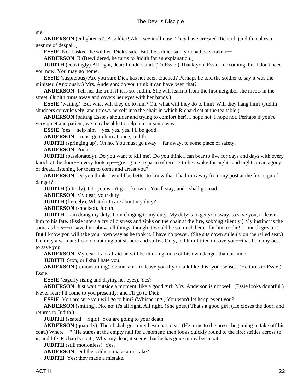me.

 **ANDERSON** (enlightened). A soldier! Ah, I see it all now! They have arrested Richard. (Judith makes a gesture of despair.)

 **ESSIE**. No. I asked the soldier. Dick's safe. But the soldier said you had been taken−−

**ANDERSON.** I! (Bewildered, he turns to Judith for an explanation.)

**JUDITH** (coaxingly) All right, dear: I understand. (To Essie.) Thank you, Essie, for coming; but I don't need you now. You may go home.

**ESSIE** (suspicious) Are you sure Dick has not been touched? Perhaps he told the soldier to say it was the minister. (Anxiously.) Mrs. Anderson: do you think it can have been that?

 **ANDERSON**. Tell her the truth if it is so, Judith. She will learn it from the first neighbor she meets in the street. (Judith turns away and covers her eyes with her hands.)

**ESSIE** (wailing). But what will they do to him? Oh, what will they do to him? Will they hang him? (Judith shudders convulsively, and throws herself into the chair in which Richard sat at the tea table.)

 **ANDERSON** (patting Essie's shoulder and trying to comfort her). I hope not. I hope not. Perhaps if you're very quiet and patient, we may be able to help him in some way.

 **ESSIE**. Yes−−help him−−yes, yes, yes. I'll be good.

 **ANDERSON**. I must go to him at once, Judith.

 **JUDITH** (springing up). Oh no. You must go away−−far away, to some place of safety.

 **ANDERSON**. Pooh!

**JUDITH** (passionately). Do you want to kill me? Do you think I can bear to live for days and days with every knock at the door−− every footstep−−giving me a spasm of terror? to lie awake for nights and nights in an agony of dread, listening for them to come and arrest you?

 **ANDERSON**. Do you think it would be better to know that I had run away from my post at the first sign of danger?

**JUDITH** (bitterly). Oh, you won't go. I know it. You'll stay; and I shall go mad.

 **ANDERSON**. My dear, your duty−−

**JUDITH** (fiercely). What do I care about my duty?

 **ANDERSON** (shocked). Judith!

**JUDITH**. I am doing my duty. I am clinging to my duty. My duty is to get you away, to save you, to leave him to his fate. (Essie utters a cry of distress and sinks on the chair at the fire, sobbing silently.) My instinct is the same as hers––to save him above all things, though it would be so much better for him to die! so much greater! But I know you will take your own way as he took it. I have no power. (She sits down sullenly on the railed seat.) I'm only a woman: I can do nothing but sit here and suffer. Only, tell him I tried to save you−−that I did my best to save you.

 **ANDERSON**. My dear, I am afraid he will be thinking more of his own danger than of mine.

**JUDITH**. Stop; or I shall hate you.

 **ANDERSON** (remonstrating). Come, am I to leave you if you talk like this! your senses. (He turns to Essie.) Essie.

 **ESSIE** (eagerly rising and drying her eyes). Yes?

 **ANDERSON**. Just wait outside a moment, like a good girl: Mrs. Anderson is not well. (Essie looks doubtful.) Never fear: I'll come to you presently; and I'll go to Dick.

**ESSIE**. You are sure you will go to him? (Whispering.) You won't let her prevent you?

 **ANDERSON** (smiling). No, no: it's all right. All right. (She goes.) That's a good girl. (He closes the door, and returns to Judith.)

 **JUDITH** (seated−−rigid). You are going to your death.

 **ANDERSON** (quaintly). Then I shall go in my best coat, dear. (He turns to the press, beginning to take off his coat.) Where−−? (He stares at the empty nail for a moment; then looks quickly round to the fire; strides across to it; and lifts Richard's coat.) Why, my dear, it seems that he has gone in my best coat.

 **JUDITH** (still motionless). Yes.

 **ANDERSON**. Did the soldiers make a mistake?

 **JUDITH**. Yes: they made a mistake.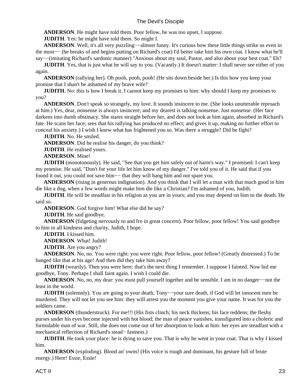**ANDERSON**. He might have told them. Poor fellow, he was too upset, I suppose.

 **JUDITH**. Yes: he might have told them. So might I.

**ANDERSON.** Well, it's all very puzzling––almost funny. It's curious how these little things strike us even in the most−− (he breaks of and begins putting on Richard's coat) I'd better take him his own coat. I know what he'll say−−(imitating Richard's sardonic manner) "Anxious about my soul, Pastor, and also about your best coat." Eh?

**JUDITH**. Yes, that is just what he will say to you. (Vacantly.) It doesn't matter: I shall never see either of you again.

 **ANDERSON** (rallying her). Oh pooh, pooh, pooh! (He sits down beside her.) Is this how you keep your promise that I shan't be ashamed of my brave wife?

**JUDITH**. No: this is how I break it. I cannot keep my promises to him: why should I keep my promises to you?

 **ANDERSON**. Don't speak so strangely, my love. It sounds insincere to me. (She looks unutterable reproach at him.) Yes, dear, nonsense is always insincere; and my dearest is talking nonsense. Just nonsense. (Her face darkens into dumb obstinacy. She stares straight before her, and does not look at him again, absorbed in Richard's fate. He scans her face; sees that his rallying has produced no effect; and gives it up, making no further effort to conceal his anxiety.) I wish I knew what has frightened you so. Was there a struggle? Did he fight?

 **JUDITH**. No. He smiled.

 **ANDERSON**. Did he realise his danger, do you think?

**JUDITH**. He realised yours.

 **ANDERSON**. Mine!

 **JUDITH** (monotonously). He said, "See that you get him safely out of harm's way." I promised: I can't keep my promise. He said, "Don't for your life let him know of my danger." I've told you of it. He said that if you found it out, you could not save him−− that they will hang him and not spare you.

 **ANDERSON** (rising in generous indignation). And you think that I will let a man with that much good in him die like a dog, when a few words might make him die like a Christian? I'm ashamed of you, Judith.

**JUDITH**. He will be steadfast in his religion as you are in yours; and you may depend on him to the death. He said so.

 **ANDERSON**. God forgive him! What else did he say?

 **JUDITH**. He said goodbye.

 **ANDERSON** (fidgeting nervously to and fro in great concern). Poor fellow, poor fellow! You said goodbye to him in all kindness and charity, Judith, I hope.

 **JUDITH**. I kissed him.

 **ANDERSON**. What! Judith!

**JUDITH**. Are you angry?

 **ANDERSON**. No, no. You were right: you were right. Poor fellow, poor fellow! (Greatly distressed.) To be hanged like that at his age! And then did they take him away?

**JUDITH** (wearily). Then you were here: that's the next thing I remember. I suppose I fainted. Now bid me goodbye, Tony. Perhaps I shall faint again. I wish I could die.

 **ANDERSON**. No, no, my dear: you must pull yourself together and be sensible. I am in no danger−−not the least in the world.

 **JUDITH** (solemnly). You are going to your death, Tony−−your sure death, if God will let innocent men be murdered. They will not let you see him: they will arrest you the moment you give your name. It was for you the soldiers came.

 **ANDERSON** (thunderstruck). For me!!! (His fists clinch; his neck thickens; his face reddens; the fleshy purses under his eyes become injected with hot blood; the man of peace vanishes, transfigured into a choleric and formidable man of war. Still, she does not come out of her absorption to look at him: her eyes are steadfast with a mechanical reflection of Richard's stead− fastness.)

**JUDITH**. He took your place: he is dying to save you. That is why he went in your coat. That is why I kissed him.

 **ANDERSON** (exploding). Blood an' owns! (His voice is rough and dominant, his gesture full of brute energy.) Here! Essie, Essie!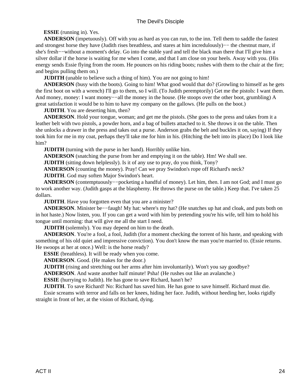#### **ESSIE** (running in). Yes.

 **ANDERSON** (impetuously). Off with you as hard as you can run, to the inn. Tell them to saddle the fastest and strongest horse they have (Judith rises breathless, and stares at him incredulously)−− the chestnut mare, if she's fresh−−without a moment's delay. Go into the stable yard and tell the black man there that I'll give him a silver dollar if the horse is waiting for me when I come, and that I am close on your heels. Away with you. (His energy sends Essie flying from the room. He pounces on his riding boots; rushes with them to the chair at the fire; and begins pulling them on.)

**JUDITH** (unable to believe such a thing of him). You are not going to him!

 **ANDERSON** (busy with the boots). Going to him! What good would that do? (Growling to himself as he gets the first boot on with a wrench) I'll go to them, so I will. (To Judith peremptorily) Get me the pistols: I want them. And money, money: I want money-−all the money in the house. (He stoops over the other boot, grumbling) A great satisfaction it would be to him to have my company on the gallows. (He pulls on the boot.)

**JUDITH.** You are deserting him, then?

 **ANDERSON**. Hold your tongue, woman; and get me the pistols. (She goes to the press and takes from it a leather belt with two pistols, a powder horn, and a bag of bullets attached to it. She throws it on the table. Then she unlocks a drawer in the press and takes out a purse. Anderson grabs the belt and buckles it on, saying) If they took him for me in my coat, perhaps they'll take me for him in his. (Hitching the belt into its place) Do I look like him?

**JUDITH** (turning with the purse in her hand). Horribly unlike him.

 **ANDERSON** (snatching the purse from her and emptying it on the table). Hm! We shall see.

**JUDITH** (sitting down helplessly). Is it of any use to pray, do you think, Tony?

 **ANDERSON** (counting the money). Pray! Can we pray Swindon's rope off Richard's neck?

 **JUDITH**. God may soften Major Swindon's heart.

 **ANDERSON** (contemptuously−−pocketing a handful of money). Let him, then. I am not God; and I must go to work another way. (Judith gasps at the blasphemy. He throws the purse on the table.) Keep that. I've taken 25 dollars.

**JUDITH.** Have you forgotten even that you are a minister?

 **ANDERSON**. Minister be−−faugh! My hat: where's my hat? (He snatches up hat and cloak, and puts both on in hot haste.) Now listen, you. If you can get a word with him by pretending you're his wife, tell him to hold his tongue until morning: that will give me all the start I need.

 **JUDITH** (solemnly). You may depend on him to the death.

**ANDERSON.** You're a fool, a fool, Judith (for a moment checking the torrent of his haste, and speaking with something of his old quiet and impressive conviction). You don't know the man you're married to. (Essie returns. He swoops at her at once.) Well: is the horse ready?

**ESSIE** (breathless). It will be ready when you come.

 **ANDERSON**. Good. (He makes for the door.)

**JUDITH** (rising and stretching out her arms after him involuntarily). Won't you say goodbye?

 **ANDERSON**. And waste another half minute! Psha! (He rushes out like an avalanche.)

**ESSIE** (hurrying to Judith). He has gone to save Richard, hasn't he?

 **JUDITH**. To save Richard! No: Richard has saved him. He has gone to save himself. Richard must die.

 Essie screams with terror and falls on her knees, hiding her face. Judith, without heeding her, looks rigidly straight in front of her, at the vision of Richard, dying.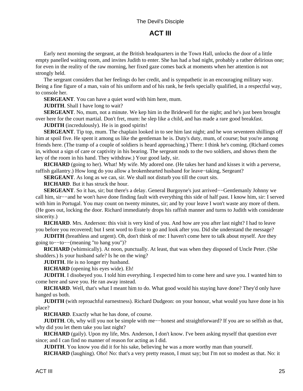## **ACT III**

<span id="page-27-0"></span> Early next morning the sergeant, at the British headquarters in the Town Hall, unlocks the door of a little empty panelled waiting room, and invites Judith to enter. She has had a bad night, probably a rather delirious one; for even in the reality of the raw morning, her fixed gaze comes back at moments when her attention is not strongly held.

 The sergeant considers that her feelings do her credit, and is sympathetic in an encouraging military way. Being a fine figure of a man, vain of his uniform and of his rank, he feels specially qualified, in a respectful way, to console her.

**SERGEANT**. You can have a quiet word with him here, mum.

**JUDITH**. Shall I have long to wait?

 **SERGEANT**. No, mum, not a minute. We kep him in the Bridewell for the night; and he's just been brought over here for the court martial. Don't fret, mum: he slep like a child, and has made a rare good breakfast.

**JUDITH** (incredulously). He is in good spirits!

**SERGEANT**. Tip top, mum. The chaplain looked in to see him last night; and he won seventeen shillings off him at spoil five. He spent it among us like the gentleman he is. Duty's duty, mum, of course; but you're among friends here. (The tramp of a couple of soldiers is heard approaching.) There: I think he's coming. (Richard comes in, without a sign of care or captivity in his bearing. The sergeant nods to the two soldiers, and shows them the key of the room in his hand. They withdraw.) Your good lady, sir.

 **RICHARD** (going to her). What! My wife. My adored one. (He takes her hand and kisses it with a perverse, raffish gallantry.) How long do you allow a brokenhearted husband for leave−taking, Sergeant?

**SERGEANT**. As long as we can, sir. We shall not disturb you till the court sits.

 **RICHARD**. But it has struck the hour.

 **SERGEANT**. So it has, sir; but there's a delay. General Burgoyne's just arrived−−Gentlemanly Johnny we call him, sir−−and he won't have done finding fault with everything this side of half past. I know him, sir: I served with him in Portugal. You may count on twenty minutes, sir; and by your leave I won't waste any more of them. (He goes out, locking the door. Richard immediately drops his raffish manner and turns to Judith with considerate sincerity.)

 **RICHARD**. Mrs. Anderson: this visit is very kind of you. And how are you after last night? I had to leave you before you recovered; but I sent word to Essie to go and look after you. Did she understand the message?

**JUDITH** (breathless and urgent). Oh, don't think of me: I haven't come here to talk about myself. Are they going to−−to−−(meaning "to hang you")?

 **RICHARD** (whimsically). At noon, punctually. At least, that was when they disposed of Uncle Peter. (She shudders.) Is your husband safe? Is he on the wing?

**JUDITH**. He is no longer my husband.

 **RICHARD** (opening his eyes wide). Eh!

 **JUDITH**. I disobeyed you. I told him everything. I expected him to come here and save you. I wanted him to come here and save you. He ran away instead.

 **RICHARD**. Well, that's what I meant him to do. What good would his staying have done? They'd only have hanged us both.

**JUDITH** (with reproachful earnestness). Richard Dudgeon: on your honour, what would you have done in his place?

 **RICHARD**. Exactly what he has done, of course.

**JUDITH**. Oh, why will you not be simple with me—−honest and straightforward? If you are so selfish as that, why did you let them take you last night?

**RICHARD** (gaily). Upon my life, Mrs. Anderson, I don't know. I've been asking myself that question ever since; and I can find no manner of reason for acting as I did.

**JUDITH**. You know you did it for his sake, believing he was a more worthy man than yourself.

**RICHARD** (laughing). Oho! No: that's a very pretty reason, I must say; but I'm not so modest as that. No: it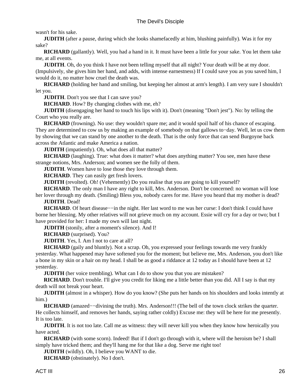wasn't for his sake.

**JUDITH** (after a pause, during which she looks shamefacedly at him, blushing painfully). Was it for my sake?

**RICHARD** (gallantly). Well, you had a hand in it. It must have been a little for your sake. You let them take me, at all events.

**JUDITH**. Oh, do you think I have not been telling myself that all night? Your death will be at my door. (Impulsively, she gives him her hand, and adds, with intense earnestness) If I could save you as you saved him, I would do it, no matter how cruel the death was.

 **RICHARD** (holding her hand and smiling, but keeping her almost at arm's length). I am very sure I shouldn't let you.

 **JUDITH**. Don't you see that I can save you?

 **RICHARD**. How? By changing clothes with me, eh?

 **JUDITH** (disengaging her hand to touch his lips with it). Don't (meaning "Don't jest"). No: by telling the Court who you really are.

**RICHARD** (frowning). No use: they wouldn't spare me; and it would spoil half of his chance of escaping. They are determined to cow us by making an example of somebody on that gallows to−day. Well, let us cow them by showing that we can stand by one another to the death. That is the only force that can send Burgoyne back across the Atlantic and make America a nation.

**JUDITH** (impatiently). Oh, what does all that matter?

**RICHARD** (laughing). True: what does it matter? what does anything matter? You see, men have these strange notions, Mrs. Anderson; and women see the folly of them.

**JUDITH**. Women have to lose those they love through them.

**RICHARD**. They can easily get fresh lovers.

**JUDITH** (revolted). Oh! (Vehemently) Do you realise that you are going to kill yourself?

 **RICHARD**. The only man I have any right to kill, Mrs. Anderson. Don't be concerned: no woman will lose

her lover through my death. (Smiling) Bless you, nobody cares for me. Have you heard that my mother is dead?  **JUDITH**. Dead!

**RICHARD**. Of heart disease—−in the night. Her last word to me was her curse: I don't think I could have borne her blessing. My other relatives will not grieve much on my account. Essie will cry for a day or two; but I have provided for her: I made my own will last night.

 **JUDITH** (stonily, after a moment's silence). And I!

 **RICHARD** (surprised). You?

**JUDITH.** Yes, I. Am I not to care at all?

**RICHARD** (gaily and bluntly). Not a scrap. Oh, you expressed your feelings towards me very frankly yesterday. What happened may have softened you for the moment; but believe me, Mrs. Anderson, you don't like a bone in my skin or a hair on my head. I shall be as good a riddance at 12 today as I should have been at 12 yesterday.

**JUDITH** (her voice trembling). What can I do to show you that you are mistaken?

**RICHARD**. Don't trouble. I'll give you credit for liking me a little better than you did. All I say is that my death will not break your heart.

**JUDITH** (almost in a whisper). How do you know? (She puts her hands on his shoulders and looks intently at him.)

 **RICHARD** (amazed−−divining the truth). Mrs. Anderson!!! (The bell of the town clock strikes the quarter. He collects himself, and removes her hands, saying rather coldly) Excuse me: they will be here for me presently. It is too late.

**JUDITH**. It is not too late. Call me as witness: they will never kill you when they know how heroically you have acted.

**RICHARD** (with some scorn). Indeed! But if I don't go through with it, where will the heroism be? I shall simply have tricked them; and they'll hang me for that like a dog. Serve me right too!

**JUDITH** (wildly). Oh, I believe you WANT to die.

 **RICHARD** (obstinately). No I don't.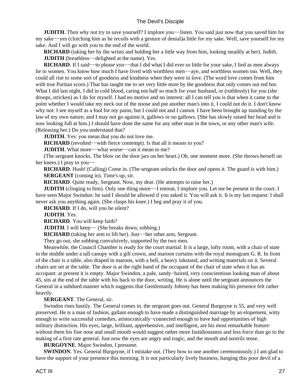**JUDITH**. Then why not try to save yourself? I implore you−−listen. You said just now that you saved him for my sake−−yes (clutching him as he recoils with a gesture of denial)a little for my sake. Well, save yourself for my sake. And I will go with you to the end of the world.

 **RICHARD** (taking her by the wrists and holding her a little way from him, looking steadily at her). Judith.  **JUDITH** (breathless−−delighted at the name). Yes.

 **RICHARD**. If I said−−to please you−−that I did what I did ever so little for your sake, I lied as men always lie to women. You know how much I have lived with worthless men−−aye, and worthless women too. Well, they could all rise to some sort of goodness and kindness when they were in love. (The word love comes from him with true Puritan scorn.) That has taught me to set very little store by the goodness that only comes out red hot. What I did last night, I did in cold blood, caring not half so much for your husband, or (ruthlessly) for you (she droops, stricken) as I do for myself. I had no motive and no interest: all I can tell you is that when it came to the point whether I would take my neck out of the noose and put another man's into it, I could not do it. I don't know why not: I see myself as a fool for my pains; but I could not and I cannot. I have been brought up standing by the law of my own nature; and I may not go against it, gallows or no gallows. (She has slowly raised her head and is now looking full at him.) I should have done the same for any other man in the town, or any other man's wife. (Releasing her.) Do you understand that?

**JUDITH.** Yes: you mean that you do not love me.

 **RICHARD** (revolted−−with fierce contempt). Is that all it means to you?

 **JUDITH**. What more−−what worse−−can it mean to me?

 (The sergeant knocks. The blow on the door jars on her heart.) Oh, one moment more. (She throws herself on her knees.) I pray to you—–

**RICHARD**. Hush! (Calling) Come in. (The sergeant unlocks the door and opens it. The guard is with him.) **SERGEANT** (coming in). Time's up, sir.

 **RICHARD**. Quite ready, Sergeant. Now, my dear. (He attempts to raise her.)

**JUDITH** (clinging to him). Only one thing more—–I entreat, I implore you. Let me be present in the court. I have seen Major Swindon: he said I should be allowed if you asked it. You will ask it. It is my last request: I shall never ask you anything again. (She clasps his knee.) I beg and pray it of you.

 **RICHARD**. If I do, will you be silent?

 **JUDITH**. Yes.

 **RICHARD**. You will keep faith?

 **JUDITH**. I will keep−− (She breaks down, sobbing.)

 **RICHARD** (taking her arm to lift her). Just−−her other arm, Sergeant.

They go out, she sobbing convulsively, supported by the two men.

 Meanwhile, the Council Chamber is ready for the court martial. It is a large, lofty room, with a chair of state in the middle under a tall canopy with a gilt crown, and maroon curtains with the royal monogram G. R. In front of the chair is a table, also draped in maroon, with a bell, a heavy inkstand, and writing materials on it. Several chairs are set at the table. The door is at the right hand of the occupant of the chair of state when it has an occupant: at present it is empty. Major Swindon, a pale, sandy−haired, very conscientious looking man of about 45, sits at the end of the table with his back to the door, writing. He is alone until the sergeant announces the General in a subdued manner which suggests that Gentlemanly Johnny has been making his presence felt rather heavily.

 **SERGEANT**. The General, sir.

 Swindon rises hastily. The General comes in. the sergeant goes out. General Burgoyne is 55, and very well preserved. He is a man of fashion, gallant enough to have made a distinguished marriage by an elopement, witty enough to write successful comedies, aristocratically−connected enough to have had opportunities of high military distinction. His eyes, large, brilliant, apprehensive, and intelligent, are his most remarkable feature: without them his fine nose and small mouth would suggest rather more fastidiousness and less force than go to the making of a first rate general. Just now the eyes are angry and tragic, and the mouth and nostrils tense.

 **BURGOYNE**. Major Swindon, I presume.

**SWINDON**. Yes. General Burgoyne, if I mistake not. (They bow to one another ceremoniously.) I am glad to have the support of your presence this morning. It is not particularly lively business, hanging this poor devil of a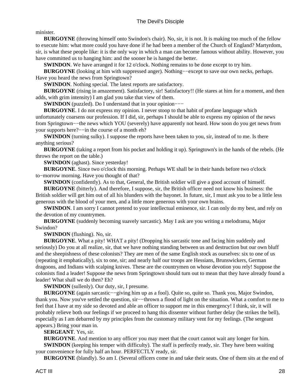minister.

**BURGOYNE** (throwing himself onto Swindon's chair). No, sir, it is not. It is making too much of the fellow to execute him: what more could you have done if he had been a member of the Church of England? Martyrdom, sir, is what these people like: it is the only way in which a man can become famous without ability. However, you have committed us to hanging him: and the sooner he is hanged the better.

**SWINDON**. We have arranged it for 12 o'clock. Nothing remains to be done except to try him.

 **BURGOYNE** (looking at him with suppressed anger). Nothing−−except to save our own necks, perhaps. Have you heard the news from Springtown?

**SWINDON**. Nothing special. The latest reports are satisfactory.

**BURGOYNE** (rising in amazement). Satisfactory, sir! Satisfactory!! (He stares at him for a moment, and then adds, with grim intensity) I am glad you take that view of them.

**SWINDON** (puzzled). Do I understand that in your opinion−−−

 **BURGOYNE**. I do not express my opinion. I never stoop to that habit of profane language which unfortunately coarsens our profession. If I did, sir, perhaps I should be able to express my opinion of the news from Springtown−−the news which YOU (severely) have apparently not heard. How soon do you get news from your supports here?−−in the course of a month eh?

**SWINDON** (turning sulky). I suppose the reports have been taken to you, sir, instead of to me. Is there anything serious?

 **BURGOYNE** (taking a report from his pocket and holding it up). Springtown's in the hands of the rebels. (He throws the report on the table.)

**SWINDON** (aghast). Since yesterday!

 **BURGOYNE**. Since two o'clock this morning. Perhaps WE shall be in their hands before two o'clock to−morrow morning. Have you thought of that?

**SWINDON** (confidently). As to that, General, the British soldier will give a good account of himself.

 **BURGOYNE** (bitterly). And therefore, I suppose, sir, the British officer need not know his business: the British soldier will get him out of all his blunders with the bayonet. In future, sir, I must ask you to be a little less generous with the blood of your men, and a little more generous with your own brains.

**SWINDON**. I am sorry I cannot pretend to your intellectual eminence, sir. I can only do my best, and rely on the devotion of my countrymen.

 **BURGOYNE** (suddenly becoming suavely sarcastic). May I ask are you writing a melodrama, Major Swindon?

 **SWINDON** (flushing). No, sir.

**BURGOYNE.** What a pity! WHAT a pity! (Dropping his sarcastic tone and facing him suddenly and seriously) Do you at all realize, sir, that we have nothing standing between us and destruction but our own bluff and the sheepishness of these colonists? They are men of the same English stock as ourselves: six to one of us (repeating it emphatically), six to one, sir; and nearly half our troops are Hessians, Brunswickers, German dragoons, and Indians with scalping knives. These are the countrymen on whose devotion you rely! Suppose the colonists find a leader! Suppose the news from Springtown should turn out to mean that they have already found a leader! What shall we do then? Eh?

**SWINDON** (sullenly). Our duty, sir, I presume.

 **BURGOYNE** (again sarcastic−−giving him up as a fool). Quite so, quite so. Thank you, Major Swindon, thank you. Now you've settled the question, sir−−thrown a flood of light on the situation. What a comfort to me to feel that I have at my side so devoted and able an officer to support me in this emergency! I think, sir, it will probably relieve both our feelings if we proceed to hang this dissenter without further delay (he strikes the bell), especially as I am debarred by my principles from the customary military vent for my feelings. (The sergeant appears.) Bring your man in.

 **SERGEANT**. Yes, sir.

 **BURGOYNE**. And mention to any officer you may meet that the court cannot wait any longer for him.

**SWINDON** (keeping his temper with difficulty). The staff is perfectly ready, sir. They have been waiting your convenience for fully half an hour. PERFECTLY ready, sir.

 **BURGOYNE** (blandly). So am I. (Several officers come in and take their seats. One of them sits at the end of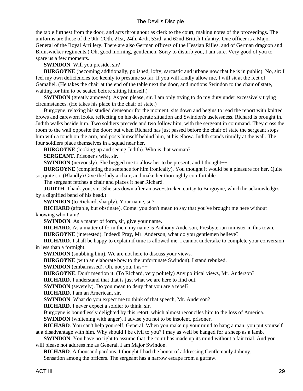the table furthest from the door, and acts throughout as clerk to the court, making notes of the proceedings. The uniforms are those of the 9th, 2Oth, 21st, 24th, 47th, 53rd, and 62nd British Infantry. One officer is a Major General of the Royal Artillery. There are also German officers of the Hessian Rifles, and of German dragoon and Brunswicker regiments.) Oh, good morning, gentlemen. Sorry to disturb you, I am sure. Very good of you to spare us a few moments.

 **SWINDON**. Will you preside, sir?

**BURGOYNE** (becoming additionally, polished, lofty, sarcastic and urbane now that he is in public). No, sir: I feel my own deficiencies too keenly to presume so far. If you will kindly allow me, I will sit at the feet of Gamaliel. (He takes the chair at the end of the table next the door, and motions Swindon to the chair of state, waiting for him to be seated before sitting himself.)

**SWINDON** (greatly annoyed). As you please, sir. I am only trying to do my duty under excessively trying circumstances. (He takes his place in the chair of state.)

 Burgoyne, relaxing his studied demeanor for the moment, sits down and begins to read the report with knitted brows and careworn looks, reflecting on his desperate situation and Swindon's uselessness. Richard is brought in. Judith walks beside him. Two soldiers precede and two follow him, with the sergeant in command. They cross the room to the wall opposite the door; but when Richard has just passed before the chair of state the sergeant stops him with a touch on the arm, and posts himself behind him, at his elbow. Judith stands timidly at the wall. The four soldiers place themselves in a squad near her.

 **BURGOYNE** (looking up and seeing Judith). Who is that woman?

 **SERGEANT**. Prisoner's wife, sir.

**SWINDON** (nervously). She begged me to allow her to be present; and I thought–−

**BURGOYNE** (completing the sentence for him ironically). You thought it would be a pleasure for her. Quite so, quite so. (Blandly) Give the lady a chair; and make her thoroughly comfortable.

The sergeant fetches a chair and places it near Richard.

 **JUDITH**. Thank you, sir. (She sits down after an awe−stricken curtsy to Burgoyne, which he acknowledges by a dignified bend of his head.)

 **SWINDON** (to Richard, sharply). Your name, sir?

 **RICHARD** (affable, but obstinate). Come: you don't mean to say that you've brought me here without knowing who I am?

**SWINDON**. As a matter of form, sir, give your name.

 **RICHARD**. As a matter of form then, my name is Anthony Anderson, Presbyterian minister in this town.

 **BURGOYNE** (interested). Indeed! Pray, Mr. Anderson, what do you gentlemen believe?

 **RICHARD**. I shall be happy to explain if time is allowed me. I cannot undertake to complete your conversion in less than a fortnight.

**SWINDON** (snubbing him). We are not here to discuss your views.

 **BURGOYNE** (with an elaborate bow to the unfortunate Swindon). I stand rebuked.

 **SWINDON** (embarrassed). Oh, not you, I as−−

 **BURGOYNE**. Don't mention it. (To Richard, very politely) Any political views, Mr. Anderson?

**RICHARD**. I understand that that is just what we are here to find out.

**SWINDON** (severely). Do you mean to deny that you are a rebel?

 **RICHARD**. I am an American, sir.

 **SWINDON**. What do you expect me to think of that speech, Mr. Anderson?

 **RICHARD**. I never expect a soldier to think, sir.

Burgoyne is boundlessly delighted by this retort, which almost reconciles him to the loss of America.

**SWINDON** (whitening with anger). I advise you not to be insolent, prisoner.

 **RICHARD**. You can't help yourself, General. When you make up your mind to hang a man, you put yourself at a disadvantage with him. Why should I be civil to you? I may as well be hanged for a sheep as a lamb.

**SWINDON**. You have no right to assume that the court has made up its mind without a fair trial. And you will please not address me as General. I am Major Swindon.

 **RICHARD**. A thousand pardons. I thought I had the honor of addressing Gentlemanly Johnny.

Sensation among the officers. The sergeant has a narrow escape from a guffaw.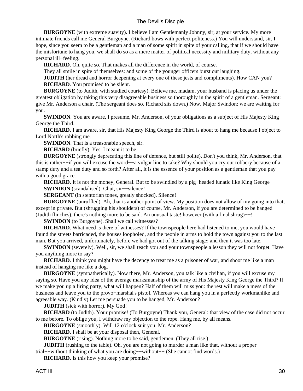**BURGOYNE** (with extreme suavity). I believe I am Gentlemanly Johnny, sir, at your service. My more intimate friends call me General Burgoyne. (Richard bows with perfect politeness.) You will understand, sir, I hope, since you seem to be a gentleman and a man of some spirit in spite of your calling, that if we should have the misfortune to hang you, we shall do so as a mere matter of political necessity and military duty, without any personal ill−feeling.

 **RICHARD**. Oh, quite so. That makes all the difference in the world, of course.

They all smile in spite of themselves: and some of the younger officers burst out laughing.

**JUDITH** (her dread and horror deepening at every one of these jests and compliments). How CAN you?

 **RICHARD**. You promised to be silent.

 **BURGOYNE** (to Judith, with studied courtesy). Believe me, madam, your husband is placing us under the greatest obligation by taking this very disagreeable business so thoroughly in the spirit of a gentleman. Sergeant: give Mr. Anderson a chair. (The sergeant does so. Richard sits down.) Now, Major Swindon: we are waiting for you.

 **SWINDON**. You are aware, I presume, Mr. Anderson, of your obligations as a subject of His Majesty King George the Third.

 **RICHARD**. I am aware, sir, that His Majesty King George the Third is about to hang me because I object to Lord North's robbing me.

 **SWINDON**. That is a treasonable speech, sir.

 **RICHARD** (briefly). Yes. I meant it to be.

 **BURGOYNE** (strongly deprecating this line of defence, but still polite). Don't you think, Mr. Anderson, that this is rather−−if you will excuse the word−−a vulgar line to take? Why should you cry out robbery because of a stamp duty and a tea duty and so forth? After all, it is the essence of your position as a gentleman that you pay with a good grace.

 **RICHARD**. It is not the money, General. But to be swindled by a pig−headed lunatic like King George  **SWINDON** (scandalised). Chut, sir−−silence!

**SERGEANT** (in stentorian tones, greatly shocked). Silence!

 **BURGOYNE** (unruffled). Ah, that is another point of view. My position does not allow of my going into that, except in private. But (shrugging his shoulders) of course, Mr. Anderson, if you are determined to be hanged (Judith flinches), there's nothing more to be said. An unusual taste! however (with a final shrug)−−!

**SWINDON** (to Burgoyne). Shall we call witnesses?

**RICHARD**. What need is there of witnesses? If the townspeople here had listened to me, you would have found the streets barricaded, the houses loopholed, and the people in arms to hold the town against you to the last man. But you arrived, unfortunately, before we had got out of the talking stage; and then it was too late.

**SWINDON** (severely). Well, sir, we shall teach you and your townspeople a lesson they will not forget. Have you anything more to say?

**RICHARD**. I think you might have the decency to treat me as a prisoner of war, and shoot me like a man instead of hanging me like a dog.

 **BURGOYNE** (sympathetically). Now there, Mr. Anderson, you talk like a civilian, if you will excuse my saying so. Have you any idea of the average marksmanship of the army of His Majesty King George the Third? If we make you up a firing party, what will happen? Half of them will miss you: the rest will make a mess of the business and leave you to the provo−marshal's pistol. Whereas we can hang you in a perfectly workmanlike and agreeable way. (Kindly) Let me persuade you to be hanged, Mr. Anderson?

 **JUDITH** (sick with horror). My God!

**RICHARD** (to Judith). Your promise! (To Burgoyne) Thank you, General: that view of the case did not occur to me before. To oblige you, I withdraw my objection to the rope. Hang me, by all means.

 **BURGOYNE** (smoothly). Will 12 o'clock suit you, Mr. Anderson?

 **RICHARD**. I shall be at your disposal then, General.

**BURGOYNE** (rising). Nothing more to be said, gentlemen. (They all rise.)

**JUDITH** (rushing to the table). Oh, you are not going to murder a man like that, without a proper trial−−without thinking of what you are doing−−without−− (She cannot find words.)

 **RICHARD**. Is this how you keep your promise?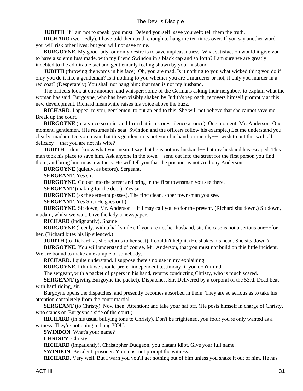**JUDITH**. If I am not to speak, you must. Defend yourself: save yourself: tell them the truth.

 **RICHARD** (worriedly). I have told them truth enough to hang me ten times over. If you say another word you will risk other lives; but you will not save mine.

**BURGOYNE**. My good lady, our only desire is to save unpleasantness. What satisfaction would it give you to have a solemn fuss made, with my friend Swindon in a black cap and so forth? I am sure we are greatly indebted to the admirable tact and gentlemanly feeling shown by your husband.

**JUDITH** (throwing the words in his face). Oh, you are mad. Is it nothing to you what wicked thing you do if only you do it like a gentleman? Is it nothing to you whether you are a murderer or not, if only you murder in a red coat? (Desperately) You shall not hang him: that man is not my husband.

 The officers look at one another, and whisper: some of the Germans asking their neighbors to explain what the woman has said. Burgoyne, who has been visibly shaken by Judith's reproach, recovers himself promptly at this new development. Richard meanwhile raises his voice above the buzz.

 **RICHARD**. I appeal to you, gentlemen, to put an end to this. She will not believe that she cannot save me. Break up the court.

 **BURGOYNE** (in a voice so quiet and firm that it restores silence at once). One moment, Mr. Anderson. One moment, gentlemen. (He resumes his seat. Swindon and the officers follow his example.) Let me understand you clearly, madam. Do you mean that this gentleman is not your husband, or merely−−I wish to put this with all delicacy−−that you are not his wife?

**JUDITH**. I don't know what you mean. I say that he is not my husband—−that my husband has escaped. This man took his place to save him. Ask anyone in the town—send out into the street for the first person you find there, and bring him in as a witness. He will tell you that the prisoner is not Anthony Anderson.

 **BURGOYNE** (quietly, as before). Sergeant.

 **SERGEANT**. Yes sir.

 **BURGOYNE**. Go out into the street and bring in the first townsman you see there.

**SERGEANT** (making for the door). Yes sir.

 **BURGOYNE** (as the sergeant passes). The first clean, sober townsman you see.

**SERGEANT**. Yes Sir. (He goes out.)

**BURGOYNE**. Sit down, Mr. Anderson––if I may call you so for the present. (Richard sits down.) Sit down, madam, whilst we wait. Give the lady a newspaper.

 **RICHARD** (indignantly). Shame!

**BURGOYNE** (keenly, with a half smile). If you are not her husband, sir, the case is not a serious one–−for her. (Richard bites his lip silenced.)

**JUDITH** (to Richard, as she returns to her seat). I couldn't help it. (He shakes his head. She sits down.)

 **BURGOYNE**. You will understand of course, Mr. Anderson, that you must not build on this little incident. We are bound to make an example of somebody.

**RICHARD**. I quite understand. I suppose there's no use in my explaining.

 **BURGOYNE**. I think we should prefer independent testimony, if you don't mind.

The sergeant, with a packet of papers in his hand, returns conducting Christy, who is much scared.

**SERGEANT** (giving Burgoyne the packet). Dispatches, Sir. Delivered by a corporal of the 53rd. Dead beat with hard riding, sir.

 Burgoyne opens the dispatches, and presently becomes absorbed in them. They are so serious as to take his attention completely from the court martial.

**SERGEANT** (to Christy). Now then. Attention; and take your hat off. (He posts himself in charge of Christy, who stands on Burgoyne's side of the court.)

**RICHARD** (in his usual bullying tone to Christy). Don't be frightened, you fool: you're only wanted as a witness. They're not going to hang YOU.

 **SWINDON**. What's your name?

 **CHRISTY**. Christy.

 **RICHARD** (impatiently). Christopher Dudgeon, you blatant idiot. Give your full name.

**SWINDON**. Be silent, prisoner. You must not prompt the witness.

**RICHARD**. Very well. But I warn you you'll get nothing out of him unless you shake it out of him. He has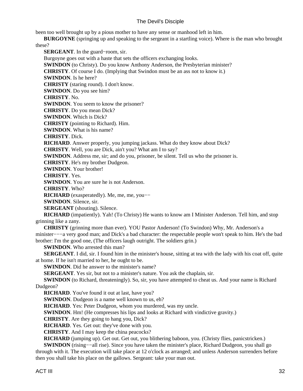been too well brought up by a pious mother to have any sense or manhood left in him.

 **BURGOYNE** (springing up and speaking to the sergeant in a startling voice). Where is the man who brought these?

 **SERGEANT**. In the guard−room, sir. Burgoyne goes out with a haste that sets the officers exchanging looks. **SWINDON** (to Christy). Do you know Anthony Anderson, the Presbyterian minister?  **CHRISTY**. Of course I do. (Implying that Swindon must be an ass not to know it.)  **SWINDON**. Is he here?  **CHRISTY** (staring round). I don't know.  **SWINDON**. Do you see him?  **CHRISTY**. No. **SWINDON**. You seem to know the prisoner?  **CHRISTY**. Do you mean Dick?  **SWINDON**. Which is Dick?  **CHRISTY** (pointing to Richard). Him.  **SWINDON**. What is his name?  **CHRISTY**. Dick.  **RICHARD**. Answer properly, you jumping jackass. What do they know about Dick?  **CHRISTY**. Well, you are Dick, ain't you? What am I to say? **SWINDON**. Address me, sir; and do you, prisoner, be silent. Tell us who the prisoner is.  **CHRISTY**. He's my brother Dudgeon.  **SWINDON**. Your brother!  **CHRISTY**. Yes.  **SWINDON**. You are sure he is not Anderson.  **CHRISTY**. Who? **RICHARD** (exasperatedly). Me, me, me, you–−  **SWINDON**. Silence, sir. **SERGEANT** (shouting). Silence.  **RICHARD** (impatiently). Yah! (To Christy) He wants to know am I Minister Anderson. Tell him, and stop grinning like a zany.  **CHRISTY** (grinning more than ever). YOU Pastor Anderson! (To Swindon) Why, Mr. Anderson's a

minister−−−a very good man; and Dick's a bad character: the respectable people won't speak to him. He's the bad brother: I'm the good one, (The officers laugh outright. The soldiers grin.)

 **SWINDON**. Who arrested this man?

**SERGEANT**. I did, sir. I found him in the minister's house, sitting at tea with the lady with his coat off, quite at home. If he isn't married to her, he ought to be.

**SWINDON**. Did he answer to the minister's name?

 **SERGEANT**. Yes sir, but not to a minister's nature. You ask the chaplain, sir.

**SWINDON** (to Richard, threateningly). So, sir, you have attempted to cheat us. And your name is Richard Dudgeon?

**RICHARD**. You've found it out at last, have you?

**SWINDON**. Dudgeon is a name well known to us, eh?

 **RICHARD**. Yes: Peter Dudgeon, whom you murdered, was my uncle.

**SWINDON**. Hm! (He compresses his lips and looks at Richard with vindictive gravity.)

 **CHRISTY**. Are they going to hang you, Dick?

 **RICHARD**. Yes. Get out: they've done with you.

 **CHRISTY**. And I may keep the china peacocks?

 **RICHARD** (jumping up). Get out. Get out, you blithering baboon, you. (Christy flies, panicstricken.)

 **SWINDON** (rising−−all rise). Since you have taken the minister's place, Richard Dudgeon, you shall go through with it. The execution will take place at 12 o'clock as arranged; and unless Anderson surrenders before then you shall take his place on the gallows. Sergeant: take your man out.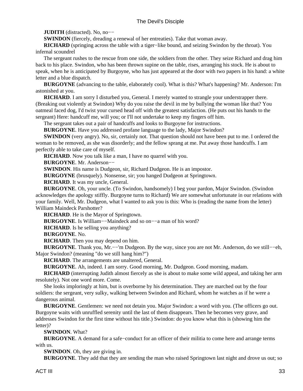**JUDITH** (distracted). No, no−−

**SWINDON** (fiercely, dreading a renewal of her entreaties). Take that woman away.

 **RICHARD** (springing across the table with a tiger−like bound, and seizing Swindon by the throat). You infernal scoundrel

 The sergeant rushes to the rescue from one side, the soldiers from the other. They seize Richard and drag him back to his place. Swindon, who has been thrown supine on the table, rises, arranging his stock. He is about to speak, when he is anticipated by Burgoyne, who has just appeared at the door with two papers in his hand: a white letter and a blue dispatch.

 **BURGOYNE** (advancing to the table, elaborately cool). What is this? What's happening? Mr. Anderson: I'm astonished at you.

 **RICHARD**. I am sorry I disturbed you, General. I merely wanted to strangle your understrapper there. (Breaking out violently at Swindon) Why do you raise the devil in me by bullying the woman like that? You oatmeal faced dog, I'd twist your cursed head off with the greatest satisfaction. (He puts out his hands to the sergeant) Here: handcuff me, will you; or I'll not undertake to keep my fingers off him.

The sergeant takes out a pair of handcuffs and looks to Burgoyne for instructions.

 **BURGOYNE**. Have you addressed profane language to the lady, Major Swindon?

**SWINDON** (very angry). No, sir, certainly not. That question should not have been put to me. I ordered the woman to be removed, as she was disorderly; and the fellow sprang at me. Put away those handcuffs. I am perfectly able to take care of myself.

 **RICHARD**. Now you talk like a man, I have no quarrel with you.

 **BURGOYNE**. Mr. Anderson−−

**SWINDON**. His name is Dudgeon, sir, Richard Dudgeon. He is an impostor.

 **BURGOYNE** (brusquely). Nonsense, sir; you hanged Dudgeon at Springtown.

 **RICHARD**. It was my uncle, General.

 **BURGOYNE**. Oh, your uncle. (To Swindon, handsomely) I beg your pardon, Major Swindon. (Swindon acknowledges the apology stiffly. Burgoyne turns to Richard) We are somewhat unfortunate in our relations with your family. Well, Mr. Dudgeon, what I wanted to ask you is this: Who is (reading the name from the letter) William Maindeck Parshotter?

 **RICHARD**. He is the Mayor of Springtown.

 **BURGOYNE**. Is William−−Maindeck and so on−−a man of his word?

 **RICHARD**. Is he selling you anything?

 **BURGOYNE**. No.

 **RICHARD**. Then you may depend on him.

 **BURGOYNE**. Thank you, Mr.−−'m Dudgeon. By the way, since you are not Mr. Anderson, do we still−−eh, Major Swindon? (meaning "do we still hang him?")

 **RICHARD**. The arrangements are unaltered, General.

 **BURGOYNE**. Ah, indeed. I am sorry. Good morning, Mr. Dudgeon. Good morning, madam.

 **RICHARD** (interrupting Judith almost fiercely as she is about to make some wild appeal, and taking her arm resolutely). Not one word more. Come.

 She looks imploringly at him, but is overborne by his determination. They are marched out by the four soldiers: the sergeant, very sulky, walking between Swindon and Richard, whom he watches as if he were a dangerous animal.

 **BURGOYNE**. Gentlemen: we need not detain you. Major Swindon: a word with you. (The officers go out. Burgoyne waits with unruffled serenity until the last of them disappears. Then he becomes very grave, and addresses Swindon for the first time without his title.) Swindon: do you know what this is (showing him the letter)?

 **SWINDON**. What?

 **BURGOYNE**. A demand for a safe−conduct for an officer of their militia to come here and arrange terms with us.

 **SWINDON**. Oh, they are giving in.

 **BURGOYNE**. They add that they are sending the man who raised Springtown last night and drove us out; so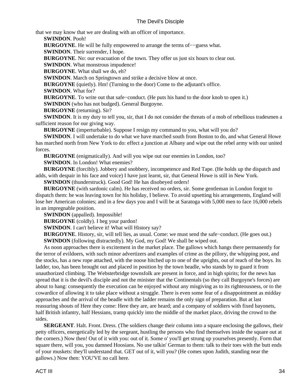that we may know that we are dealing with an officer of importance.

 **SWINDON**. Pooh!

 **BURGOYNE**. He will be fully empowered to arrange the terms of−−guess what.

 **SWINDON**. Their surrender, I hope.

**BURGOYNE.** No: our evacuation of the town. They offer us just six hours to clear out.

 **SWINDON**. What monstrous impudence!

 **BURGOYNE**. What shall we do, eh?

**SWINDON**. March on Springtown and strike a decisive blow at once.

**BURGOYNE** (quietly). Hm! (Turning to the door) Come to the adjutant's office.

 **SWINDON**. What for?

 **BURGOYNE**. To write out that safe−conduct. (He puts his hand to the door knob to open it.)

**SWINDON** (who has not budged). General Burgoyne.

 **BURGOYNE** (returning). Sir?

**SWINDON**. It is my duty to tell you, sir, that I do not consider the threats of a mob of rebellious tradesmen a sufficient reason for our giving way.

 **BURGOYNE** (imperturbable). Suppose I resign my command to you, what will you do?

 **SWINDON**. I will undertake to do what we have marched south from Boston to do, and what General Howe has marched north from New York to do: effect a junction at Albany and wipe out the rebel army with our united forces.

 **BURGOYNE** (enigmatically). And will you wipe out our enemies in London, too?

 **SWINDON**. In London! What enemies?

 **BURGOYNE** (forcibly). Jobbery and snobbery, incompetence and Red Tape. (He holds up the dispatch and adds, with despair in his face and voice) I have just learnt, sir, that General Howe is still in New York.

**SWINDON** (thunderstruck). Good God! He has disobeyed orders!

 **BURGOYNE** (with sardonic calm). He has received no orders, sir. Some gentleman in London forgot to dispatch them: he was leaving town for his holiday, I believe. To avoid upsetting his arrangements, England will lose her American colonies; and in a few days you and I will be at Saratoga with 5,000 men to face 16,000 rebels in an impregnable position.

 **SWINDON** (appalled). Impossible!

 **BURGOYNE** (coldly). I beg your pardon!

**SWINDON**. I can't believe it! What will History say?

 **BURGOYNE**. History, sir, will tell lies, as usual. Come: we must send the safe−conduct. (He goes out.) **SWINDON** (following distractedly). My God, my God! We shall be wiped out.

 As noon approaches there is excitement in the market place. The gallows which hangs there permanently for the terror of evildoers, with such minor advertizers and examples of crime as the pillory, the whipping post, and the stocks, has a new rope attached, with the noose hitched up to one of the uprights, out of reach of the boys. Its ladder, too, has been brought out and placed in position by the town beadle, who stands by to guard it from unauthorized climbing. The Websterbridge townsfolk are present in force, and in high spirits; for the news has spread that it is the devil's disciple and not the minister that the Continentals (so they call Burgoyne's forces) are about to hang: consequently the execution can be enjoyed without any misgiving as to its righteousness, or to the cowardice of allowing it to take place without a struggle. There is even some fear of a disappointment as midday approaches and the arrival of the beadle with the ladder remains the only sign of preparation. But at last reassuring shouts of Here they come: Here they are, are heard; and a company of soldiers with fixed bayonets, half British infantry, half Hessians, tramp quickly into the middle of the market place, driving the crowd to the sides.

**SERGEANT**. Halt. Front. Dress. (The soldiers change their column into a square enclosing the gallows, their petty officers, energetically led by the sergeant, hustling the persons who find themselves inside the square out at the corners.) Now then! Out of it with you: out of it. Some o' you'll get strung up yourselves presently. Form that square there, will you, you damned Hoosians. No use talkin' German to them: talk to their toes with the butt ends of your muskets: they'll understand that. GET out of it, will you? (He comes upon Judith, standing near the gallows.) Now then: YOU'VE no call here.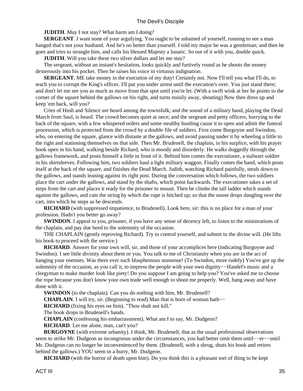**JUDITH**. May I not stay? What harm am I doing?

**SERGEANT**. I want none of your argufying. You ought to be ashamed of yourself, running to see a man hanged that's not your husband. And he's no better than yourself. I told my major he was a gentleman; and then he goes and tries to strangle him, and calls his blessed Majesty a lunatic. So out of it with you, double quick.

**JUDITH**. Will you take these two silver dollars and let me stay?

 The sergeant, without an instant's hesitation, looks quickly and furtively round as he shoots the money dexterously into his pocket. Then he raises his voice in virtuous indignation.

**SERGEANT**. ME take money in the execution of my duty! Certainly not. Now I'll tell you what I'll do, to teach you to corrupt the King's officer. I'll put you under arrest until the execution's over. You just stand there; and don't let me see you as much as move from that spot until you're let. (With a swift wink at her he points to the corner of the square behind the gallows on his right, and turns noisily away, shouting) Now then dress up and keep 'em back, will you?

 Cries of Hush and Silence are heard among the townsfolk; and the sound of a military band, playing the Dead March from Saul, is heard. The crowd becomes quiet at once; and the sergeant and petty officers, hurrying to the back of the square, with a few whispered orders and some stealthy hustling cause it to open and admit the funeral procession, which is protected from the crowd by a double file of soldiers. First come Burgoyne and Swindon, who, on entering the square, glance with distaste at the gallows, and avoid passing under it by wheeling a little to the right and stationing themselves on that side. Then Mr. Brudenell, the chaplain, in his surplice, with his prayer book open in his hand, walking beside Richard, who is moody and disorderly. He walks doggedly through the gallows framework, and posts himself a little in front of it. Behind him comes the executioner, a stalwart soldier in his shirtsleeves. Following him, two soldiers haul a light military waggon. Finally comes the band, which posts itself at the back of the square, and finishes the Dead March. Judith, watching Richard painfully, steals down to the gallows, and stands leaning against its right post. During the conversation which follows, the two soldiers place the cart under the gallows, and stand by the shafts, which point backwards. The executioner takes a set of steps from the cart and places it ready for the prisoner to mount. Then he climbs the tall ladder which stands against the gallows, and cuts the string by which the rope is hitched up; so that the noose drops dangling over the cart, into which he steps as he descends.

**RICHARD** (with suppressed impatience, to Brudenell). Look here, sir: this is no place for a man of your profession. Hadn't you better go away?

**SWINDON**. I appeal to you, prisoner, if you have any sense of decency left, to listen to the ministrations of the chaplain, and pay due heed to the solemnity of the occasion.

 THE CHAPLAIN (gently reproving Richard). Try to control yourself, and submit to the divine will. (He lifts his book to proceed with the service.)

**RICHARD**. Answer for your own will, sir, and those of your accomplices here (indicating Burgoyne and Swindon): I see little divinity about them or you. You talk to me of Christianity when you are in the act of hanging your enemies. Was there ever such blasphemous nonsense! (To Swindon, more rudely) You've got up the solemnity of the occasion, as you call it, to impress the people with your own dignity–−Handel's music and a clergyman to make murder look like piety! Do you suppose I am going to help you? You've asked me to choose the rope because you don't know your own trade well enough to shoot me properly. Well, hang away and have done with it.

**SWINDON** (to the chaplain). Can you do nothing with him, Mr. Brudenell?

**CHAPLAIN**. I will try, sir. (Beginning to read) Man that is born of woman hath–−

 **RICHARD** (fixing his eyes on him). "Thou shalt not kill."

The book drops in Brudenell's hands.

 **CHAPLAIN** (confessing his embarrassment). What am I to say, Mr. Dudgeon?

 **RICHARD**. Let me alone, man, can't you?

 **BURGOYNE** (with extreme urbanity). I think, Mr. Brudenell, that as the usual professional observations seem to strike Mr. Dudgeon as incongruous under the circumstances, you had better omit them until−−er−−until Mr. Dudgeon can no longer be inconvenienced by them. (Brudenell, with a shrug, shuts his book and retires behind the gallows.) YOU seem in a hurry, Mr. Dudgeon.

 **RICHARD** (with the horror of death upon him). Do you think this is a pleasant sort of thing to be kept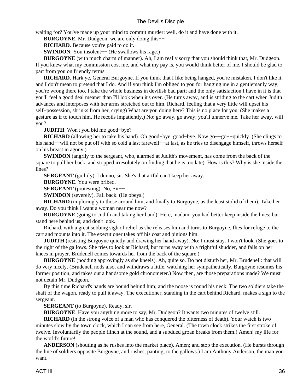waiting for? You've made up your mind to commit murder: well, do it and have done with it.

**BURGOYNE.** Mr. Dudgeon: we are only doing this–−

**RICHARD**. Because you're paid to do it.

 **SWINDON**. You insolent−− (He swallows his rage.)

 **BURGOYNE** (with much charm of manner). Ah, I am really sorry that you should think that, Mr. Dudgeon. If you knew what my commission cost me, and what my pay is, you would think better of me. I should be glad to part from you on friendly terms.

**RICHARD**. Hark ye, General Burgoyne. If you think that I like being hanged, you're mistaken. I don't like it; and I don't mean to pretend that I do. And if you think I'm obliged to you for hanging me in a gentlemanly way, you're wrong there too. I take the whole business in devilish bad part; and the only satisfaction I have in it is that you'll feel a good deal meaner than I'll look when it's over. (He turns away, and is striding to the cart when Judith advances and interposes with her arms stretched out to him. Richard, feeling that a very little will upset his self−possession, shrinks from her, crying) What are you doing here? This is no place for you. (She makes a gesture as if to touch him. He recoils impatiently.) No: go away, go away; you'll unnerve me. Take her away, will you?

 **JUDITH**. Won't you bid me good−bye?

**RICHARD** (allowing her to take his hand). Oh good–bye, good–bye. Now go––go––quickly. (She clings to his hand−−will not be put off with so cold a last farewell−−at last, as he tries to disengage himself, throws herself on his breast in agony.)

**SWINDON** (angrily to the sergeant, who, alarmed at Judith's movement, has come from the back of the square to pull her back, and stopped irresolutely on finding that he is too late). How is this? Why is she inside the lines?

**SERGEANT** (guiltily). I dunno, sir. She's that artful can't keep her away.

 **BURGOYNE**. You were bribed.

 **SERGEANT** (protesting). No, Sir−−

 **SWINDON** (severely). Fall back. (He obeys.)

 **RICHARD** (imploringly to those around him, and finally to Burgoyne, as the least stolid of them). Take her away. Do you think I want a woman near me now?

 **BURGOYNE** (going to Judith and taking her hand). Here, madam: you had better keep inside the lines; but stand here behind us; and don't look.

 Richard, with a great sobbing sigh of relief as she releases him and turns to Burgoyne, flies for refuge to the cart and mounts into it. The executioner takes off his coat and pinions him.

**JUDITH** (resisting Burgoyne quietly and drawing her hand away). No: I must stay. I won't look. (She goes to the right of the gallows. She tries to look at Richard, but turns away with a frightful shudder, and falls on her knees in prayer. Brudenell comes towards her from the back of the square.)

 **BURGOYNE** (nodding approvingly as she kneels). Ah, quite so. Do not disturb her, Mr. Brudenell: that will do very nicely. (Brudenell nods also, and withdraws a little, watching her sympathetically. Burgoyne resumes his former position, and takes out a handsome gold chronometer.) Now then, are those preparations made? We must not detain Mr. Dudgeon.

 By this time Richard's hands are bound behind him; and the noose is round his neck. The two soldiers take the shaft of the wagon, ready to pull it away. The executioner, standing in the cart behind Richard, makes a sign to the sergeant.

**SERGEANT** (to Burgoyne). Ready, sir.

 **BURGOYNE**. Have you anything more to say, Mr. Dudgeon? It wants two minutes of twelve still.

 **RICHARD** (in the strong voice of a man who has conquered the bitterness of death). Your watch is two minutes slow by the town clock, which I can see from here, General. (The town clock strikes the first stroke of twelve. Involuntarily the people flinch at the sound, and a subdued groan breaks from them.) Amen! my life for the world's future!

 **ANDERSON** (shouting as he rushes into the market place). Amen; and stop the execution. (He bursts through the line of soldiers opposite Burgoyne, and rushes, panting, to the gallows.) I am Anthony Anderson, the man you want.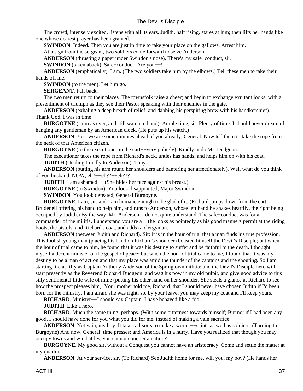The crowd, intensely excited, listens with all its ears. Judith, half rising, stares at him; then lifts her hands like one whose dearest prayer has been granted.

**SWINDON**. Indeed. Then you are just in time to take your place on the gallows. Arrest him.

At a sign from the sergeant, two soldiers come forward to seize Anderson.

 **ANDERSON** (thrusting a paper under Swindon's nose). There's my safe−conduct, sir.

 **SWINDON** (taken aback). Safe−conduct! Are you−−!

 **ANDERSON** (emphatically). I am. (The two soldiers take him by the elbows.) Tell these men to take their hands off me.

**SWINDON** (to the men). Let him go.

 **SERGEANT**. Fall back.

 The two men return to their places. The townsfolk raise a cheer; and begin to exchange exultant looks, with a presentiment of triumph as they see their Pastor speaking with their enemies in the gate.

 **ANDERSON** (exhaling a deep breath of relief, and dabbing his perspiring brow with his handkerchief). Thank God, I was in time!

**BURGOYNE** (calm as ever, and still watch in hand). Ample time, sir. Plenty of time. I should never dream of hanging any gentleman by an American clock. (He puts up his watch.)

 **ANDERSON**. Yes: we are some minutes ahead of you already, General. Now tell them to take the rope from the neck of that American citizen.

 **BURGOYNE** (to the executioner in the cart−−very politely). Kindly undo Mr. Dudgeon.

The executioner takes the rope from Richard's neck, unties has hands, and helps him on with his coat.

 **JUDITH** (stealing timidly to Anderson). Tony.

 **ANDERSON** (putting his arm round her shoulders and bantering her affectionately). Well what do you think of you husband, NOW, eh?−−eh??−−eh???

 **JUDITH**. I am ashamed— (She hides her face against his breast.)

 **BURGOYNE** (to Swindon). You look disappointed, Major Swindon.

 **SWINDON**. You look defeated, General Burgoyne.

 **BURGOYNE**. I am, sir; and I am humane enough to be glad of it. (Richard jumps down from the cart, Brudenell offering his hand to help him, and runs to Anderson, whose left hand he shakes heartily, the right being occupied by Judith.) By the way, Mr. Anderson, I do not quite understand. The safe−conduct was for a commander of the militia. I understand you are a−−(he looks as pointedly as his good manners permit at the riding boots, the pistols, and Richard's coat, and adds) a clergyman.

 **ANDERSON** (between Judith and Richard). Sir: it is in the hour of trial that a man finds his true profession. This foolish young man (placing his hand on Richard's shoulder) boasted himself the Devil's Disciple; but when the hour of trial came to him, he found that it was his destiny to suffer and be faithful to the death. I thought myself a decent minister of the gospel of peace; but when the hour of trial came to me, I found that it was my destiny to be a man of action and that my place was amid the thunder of the captains and the shouting. So I am starting life at fifty as Captain Anthony Anderson of the Springtown militia; and the Devil's Disciple here will start presently as the Reverend Richard Dudgeon, and wag his pow in my old pulpit, and give good advice to this silly sentimental little wife of mine (putting his other hand on her shoulder. She steals a glance at Richard to see how the prospect pleases him). Your mother told me, Richard, that I should never have chosen Judith if I'd been born for the ministry. I am afraid she was right; so, by your leave, you may keep my coat and I'll keep yours.

**RICHARD**. Minister––I should say Captain. I have behaved like a fool.

 **JUDITH**. Like a hero.

**RICHARD**. Much the same thing, perhaps. (With some bitterness towards himself) But no: if I had been any good, I should have done for you what you did for me, instead of making a vain sacrifice.

**ANDERSON**. Not vain, my boy. It takes all sorts to make a world ––saints as well as soldiers. (Turning to Burgoyne) And now, General, time presses; and America is in a hurry. Have you realized that though you may occupy towns and win battles, you cannot conquer a nation?

**BURGOYNE**. My good sir, without a Conquest you cannot have an aristocracy. Come and settle the matter at my quarters.

 **ANDERSON**. At your service, sir. (To Richard) See Judith home for me, will you, my boy? (He hands her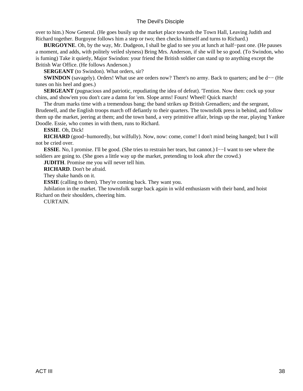over to him.) Now General. (He goes busily up the market place towards the Town Hall, Leaving Judith and Richard together. Burgoyne follows him a step or two; then checks himself and turns to Richard.)

 **BURGOYNE**. Oh, by the way, Mr. Dudgeon, I shall be glad to see you at lunch at half−past one. (He pauses a moment, and adds, with politely veiled slyness) Bring Mrs. Anderson, if she will be so good. (To Swindon, who is fuming) Take it quietly, Major Swindon: your friend the British soldier can stand up to anything except the British War Office. (He follows Anderson.)

**SERGEANT** (to Swindon). What orders, sir?

 **SWINDON** (savagely). Orders! What use are orders now? There's no army. Back to quarters; and be d−− (He tunes on his heel and goes.)

 **SERGEANT** (pugnacious and patriotic, repudiating the idea of defeat). 'Tention. Now then: cock up your chins, and show'em you don't care a damn for 'em. Slope arms! Fours! Wheel! Quick march!

 The drum marks time with a tremendous bang; the band strikes up British Grenadiers; and the sergeant, Brudenell, and the English troops march off defiantly to their quarters. The townsfolk press in behind, and follow them up the market, jeering at them; and the town band, a very primitive affair, brings up the rear, playing Yankee Doodle. Essie, who comes in with them, runs to Richard.

#### **ESSIE**. Oh, Dick!

 **RICHARD** (good−humoredly, but wilfully). Now, now: come, come! I don't mind being hanged; but I will not be cried over.

 **ESSIE**. No, I promise. I'll be good. (She tries to restrain her tears, but cannot.) I−−I want to see where the soldiers are going to. (She goes a little way up the market, pretending to look after the crowd.)

 **JUDITH**. Promise me you will never tell him.

 **RICHARD**. Don't be afraid.

They shake hands on it.

**ESSIE** (calling to them). They're coming back. They want you.

 Jubilation in the market. The townsfolk surge back again in wild enthusiasm with their band, and hoist Richard on their shoulders, cheering him.

CURTAIN.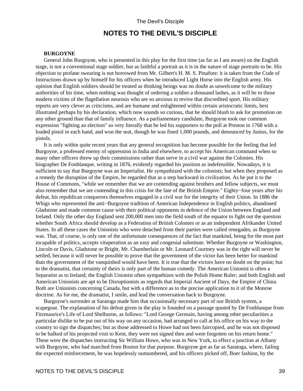## **NOTES TO THE DEVIL'S DISCIPLE**

#### **BURGOYNE**

<span id="page-41-0"></span> General John Burgoyne, who is presented in this play for the first time (as far as I am aware) on the English stage, is not a conventional stage soldier, but as faithful a portrait as it is in the nature of stage portraits to be. His objection to profane swearing is not borrowed from Mr. Gilbert's H. M. S. Pinafore: it is taken from the Code of Instructions drawn up by himself for his officers when he introduced Light Horse into the English army. His opinion that English soldiers should be treated as thinking beings was no doubt as unwelcome to the military authorities of his time, when nothing was thought of ordering a soldier a thousand lashes, as it will be to those modern victims of the flagellation neurosis who are so anxious to revive that discredited sport. His military reports are very clever as criticisms, and are humane and enlightened within certain aristocratic limits, best illustrated perhaps by his declaration, which now sounds so curious, that he should blush to ask for promotion on any other ground than that of family influence. As a parliamentary candidate, Burgoyne took our common expression "fighting an election" so very literally that he led his supporters to the poll at Preston in 1768 with a loaded pistol in each hand, and won the seat, though he was fined 1,000 pounds, and denounced by Junius, for the pistols.

 It is only within quite recent years that any general recognition has become possible for the feeling that led Burgoyne, a professed enemy of oppression in India and elsewhere, to accept his American command when so many other officers threw up their commissions rather than serve in a civil war against the Colonies. His biographer De Fonblanque, writing in 1876, evidently regarded his position as indefensible. Nowadays, it is sufficient to say that Burgoyne was an Imperialist. He sympathized with the colonists; but when they proposed as a remedy the disruption of the Empire, he regarded that as a step backward in civilization. As he put it to the House of Commons, "while we remember that we are contending against brothers and fellow subjects, we must also remember that we are contending in this crisis for the fate of the British Empire." Eighty−four years after his defeat, his republican conquerors themselves engaged in a civil war for the integrity of their Union. In 1886 the Whigs who represented the anti−Burgoyne tradition of American Independence in English politics, abandoned Gladstone and made common cause with their political opponents in defence of the Union between England and Ireland. Only the other day England sent 200,000 men into the field south of the equator to fight out the question whether South Africa should develop as a Federation of British Colonies or as an independent Afrikander United States. In all these cases the Unionists who were detached from their parties were called renegades, as Burgoyne was. That, of course, is only one of the unfortunate consequences of the fact that mankind, being for the most part incapable of politics, accepts vituperation as an easy and congenial substitute. Whether Burgoyne or Washington, Lincoln or Davis, Gladstone or Bright, Mr. Chamberlain or Mr. Leonard Courtney was in the right will never be settled, because it will never be possible to prove that the government of the victor has been better for mankind than the government of the vanquished would have been. It is true that the victors have no doubt on the point; but to the dramatist, that certainty of theirs is only part of the human comedy. The American Unionist is often a Separatist as to Ireland; the English Unionist often sympathizes with the Polish Home Ruler; and both English and American Unionists are apt to be Disruptionists as regards that Imperial Ancient of Days, the Empire of China. Both are Unionists concerning Canada, but with a difference as to the precise application to it of the Monroe doctrine. As for me, the dramatist, I smile, and lead the conversation back to Burgoyne.

 Burgoyne's surrender at Saratoga made him that occasionally necessary part of our British system, a scapegoat. The explanation of his defeat given in the play is founded on a passage quoted by De Fonblanque from Fitzmaurice's Life of Lord Shelburne, as follows: "Lord George Germain, having among other peculiarities a particular dislike to be put out of his way on any occasion, had arranged to call at his office on his way to the country to sign the dispatches; but as those addressed to Howe had not been faircopied, and he was not disposed to be balked of his projected visit to Kent, they were not signed then and were forgotten on his return home." These were the dispatches instructing Sir William Howe, who was in New York, to effect a junction at Albany with Burgoyne, who had marched from Boston for that purpose. Burgoyne got as far as Saratoga, where, failing the expected reinforcement, he was hopelessly outnumbered, and his officers picked off, Boer fashion, by the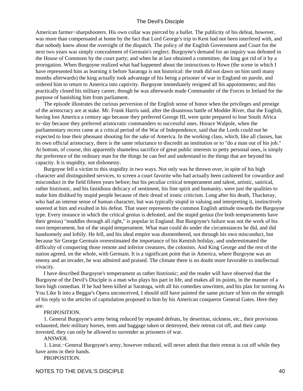American farmer−sharpshooters. His own collar was pierced by a bullet. The publicity of his defeat, however, was more than compensated at home by the fact that Lord George's trip to Kent had not been interfered with, and that nobody knew about the oversight of the dispatch. The policy of the English Government and Court for the next two years was simply concealment of Germain's neglect. Burgoyne's demand for an inquiry was defeated in the House of Commons by the court party; and when he at last obtained a committee, the king got rid of it by a prorogation. When Burgoyne realized what had happened about the instructions to Howe (the scene in which I have represented him as learning it before Saratoga is not historical: the truth did not dawn on him until many months afterwards) the king actually took advantage of his being a prisoner of war in England on parole, and ordered him to return to America into captivity. Burgoyne immediately resigned all his appointments; and this practically closed his military career, though he was afterwards made Commander of the Forces in Ireland for the purpose of banishing him from parliament.

 The episode illustrates the curious perversion of the English sense of honor when the privileges and prestige of the aristocracy are at stake. Mr. Frank Harris said, after the disastrous battle of Modder River, that the English, having lost America a century ago because they preferred George III, were quite prepared to lose South Africa to−day because they preferred aristocratic commanders to successful ones. Horace Walpole, when the parliamentary recess came at a critical period of the War of Independence, said that the Lords could not be expected to lose their pheasant shooting for the sake of America. In the working class, which, like all classes, has its own official aristocracy, there is the same reluctance to discredit an institution or to "do a man out of his job." At bottom, of course, this apparently shameless sacrifice of great public interests to petty personal ones, is simply the preference of the ordinary man for the things he can feel and understand to the things that are beyond his capacity. It is stupidity, not dishonesty.

 Burgoyne fell a victim to this stupidity in two ways. Not only was he thrown over, in spite of his high character and distinguished services, to screen a court favorite who had actually been cashiered for cowardice and misconduct in the field fifteen years before; but his peculiar critical temperament and talent, artistic, satirical, rather histrionic, and his fastidious delicacy of sentiment, his fine spirit and humanity, were just the qualities to make him disliked by stupid people because of their dread of ironic criticism. Long after his death, Thackeray, who had an intense sense of human character, but was typically stupid in valuing and interpreting it, instinctively sneered at him and exulted in his defeat. That sneer represents the common English attitude towards the Burgoyne type. Every instance in which the critical genius is defeated, and the stupid genius (for both temperaments have their genius) "muddles through all right," is popular in England. But Burgoyne's failure was not the work of his own temperament, but of the stupid temperament. What man could do under the circumstances he did, and did handsomely and loftily. He fell, and his ideal empire was dismembered, not through his own misconduct, but because Sir George Germain overestimated the importance of his Kentish holiday, and underestimated the difficulty of conquering those remote and inferior creatures, the colonists. And King George and the rest of the nation agreed, on the whole, with Germain. It is a significant point that in America, where Burgoyne was an enemy and an invader, he was admired and praised. The climate there is no doubt more favorable to intellectual vivacity.

 I have described Burgoyne's temperament as rather histrionic; and the reader will have observed that the Burgoyne of the Devil's Disciple is a man who plays his part in life, and makes all its points, in the manner of a born high comedian. If he had been killed at Saratoga, with all his comedies unwritten, and his plan for turning As You Like It into a Beggar's Opera unconceived, I should still have painted the same picture of him on the strength of his reply to the articles of capitulation proposed to him by his American conqueror General Gates. Here they are:

#### PROPOSITION.

 1. General Burgoyne's army being reduced by repeated defeats, by desertion, sickness, etc., their provisions exhausted, their military horses, tents and baggage taken or destroyed, their retreat cut off, and their camp invested, they can only be allowed to surrender as prisoners of war.

#### ANSWER.

 1. Lieut.−General Burgoyne's army, however reduced, will never admit that their retreat is cut off while they have arms in their hands.

PROPOSITION.